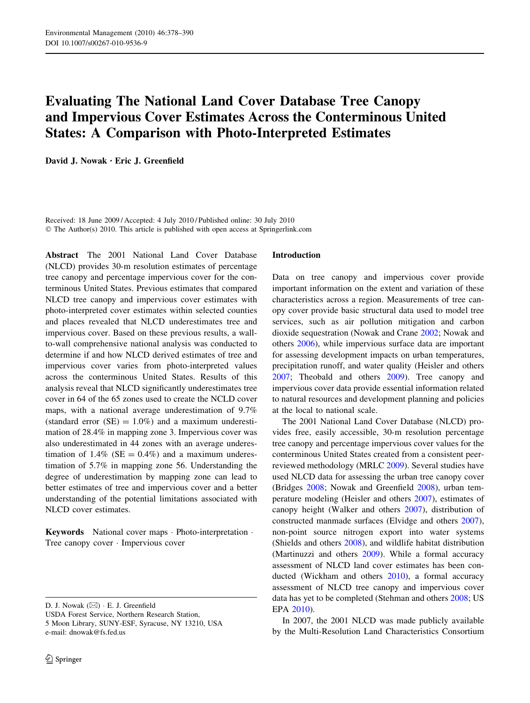# Evaluating The National Land Cover Database Tree Canopy and Impervious Cover Estimates Across the Conterminous United States: A Comparison with Photo-Interpreted Estimates

David J. Nowak • Eric J. Greenfield

Received: 18 June 2009 / Accepted: 4 July 2010 / Published online: 30 July 2010 © The Author(s) 2010. This article is published with open access at Springerlink.com

Abstract The 2001 National Land Cover Database (NLCD) provides 30-m resolution estimates of percentage tree canopy and percentage impervious cover for the conterminous United States. Previous estimates that compared NLCD tree canopy and impervious cover estimates with photo-interpreted cover estimates within selected counties and places revealed that NLCD underestimates tree and impervious cover. Based on these previous results, a wallto-wall comprehensive national analysis was conducted to determine if and how NLCD derived estimates of tree and impervious cover varies from photo-interpreted values across the conterminous United States. Results of this analysis reveal that NLCD significantly underestimates tree cover in 64 of the 65 zones used to create the NCLD cover maps, with a national average underestimation of 9.7% (standard error  $(SE) = 1.0\%$ ) and a maximum underestimation of 28.4% in mapping zone 3. Impervious cover was also underestimated in 44 zones with an average underestimation of  $1.4\%$  (SE = 0.4%) and a maximum underestimation of 5.7% in mapping zone 56. Understanding the degree of underestimation by mapping zone can lead to better estimates of tree and impervious cover and a better understanding of the potential limitations associated with NLCD cover estimates.

Keywords National cover maps · Photo-interpretation · Tree canopy cover - Impervious cover

D. J. Nowak ( $\boxtimes$ )  $\cdot$  E. J. Greenfield

USDA Forest Service, Northern Research Station, 5 Moon Library, SUNY-ESF, Syracuse, NY 13210, USA e-mail: dnowak@fs.fed.us

#### Introduction

Data on tree canopy and impervious cover provide important information on the extent and variation of these characteristics across a region. Measurements of tree canopy cover provide basic structural data used to model tree services, such as air pollution mitigation and carbon dioxide sequestration (Nowak and Crane [2002;](#page-12-0) Nowak and others [2006\)](#page-12-0), while impervious surface data are important for assessing development impacts on urban temperatures, precipitation runoff, and water quality (Heisler and others [2007](#page-11-0); Theobald and others [2009\)](#page-12-0). Tree canopy and impervious cover data provide essential information related to natural resources and development planning and policies at the local to national scale.

The 2001 National Land Cover Database (NLCD) provides free, easily accessible, 30-m resolution percentage tree canopy and percentage impervious cover values for the conterminous United States created from a consistent peerreviewed methodology (MRLC [2009](#page-11-0)). Several studies have used NLCD data for assessing the urban tree canopy cover (Bridges [2008;](#page-11-0) Nowak and Greenfield [2008](#page-12-0)), urban temperature modeling (Heisler and others [2007\)](#page-11-0), estimates of canopy height (Walker and others [2007\)](#page-12-0), distribution of constructed manmade surfaces (Elvidge and others [2007](#page-11-0)), non-point source nitrogen export into water systems (Shields and others [2008\)](#page-12-0), and wildlife habitat distribution (Martinuzzi and others [2009](#page-11-0)). While a formal accuracy assessment of NLCD land cover estimates has been conducted (Wickham and others [2010](#page-12-0)), a formal accuracy assessment of NLCD tree canopy and impervious cover data has yet to be completed (Stehman and others [2008](#page-12-0); US EPA [2010](#page-12-0)).

In 2007, the 2001 NLCD was made publicly available by the Multi-Resolution Land Characteristics Consortium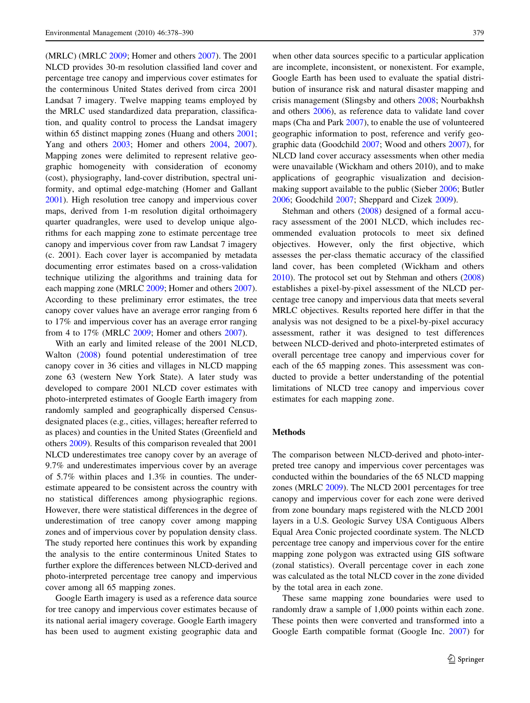(MRLC) (MRLC [2009;](#page-11-0) Homer and others [2007\)](#page-11-0). The 2001 NLCD provides 30-m resolution classified land cover and percentage tree canopy and impervious cover estimates for the conterminous United States derived from circa 2001 Landsat 7 imagery. Twelve mapping teams employed by the MRLC used standardized data preparation, classification, and quality control to process the Landsat imagery within 65 distinct mapping zones (Huang and others [2001](#page-11-0); Yang and others [2003](#page-12-0); Homer and others [2004,](#page-11-0) [2007](#page-11-0)). Mapping zones were delimited to represent relative geographic homogeneity with consideration of economy (cost), physiography, land-cover distribution, spectral uniformity, and optimal edge-matching (Homer and Gallant [2001\)](#page-11-0). High resolution tree canopy and impervious cover maps, derived from 1-m resolution digital orthoimagery quarter quadrangles, were used to develop unique algorithms for each mapping zone to estimate percentage tree canopy and impervious cover from raw Landsat 7 imagery (c. 2001). Each cover layer is accompanied by metadata documenting error estimates based on a cross-validation technique utilizing the algorithms and training data for each mapping zone (MRLC [2009](#page-11-0); Homer and others [2007](#page-11-0)). According to these preliminary error estimates, the tree canopy cover values have an average error ranging from 6 to 17% and impervious cover has an average error ranging from 4 to 17% (MRLC [2009;](#page-11-0) Homer and others [2007](#page-11-0)).

With an early and limited release of the 2001 NLCD, Walton ([2008\)](#page-12-0) found potential underestimation of tree canopy cover in 36 cities and villages in NLCD mapping zone 63 (western New York State). A later study was developed to compare 2001 NLCD cover estimates with photo-interpreted estimates of Google Earth imagery from randomly sampled and geographically dispersed Censusdesignated places (e.g., cities, villages; hereafter referred to as places) and counties in the United States (Greenfield and others [2009\)](#page-11-0). Results of this comparison revealed that 2001 NLCD underestimates tree canopy cover by an average of 9.7% and underestimates impervious cover by an average of 5.7% within places and 1.3% in counties. The underestimate appeared to be consistent across the country with no statistical differences among physiographic regions. However, there were statistical differences in the degree of underestimation of tree canopy cover among mapping zones and of impervious cover by population density class. The study reported here continues this work by expanding the analysis to the entire conterminous United States to further explore the differences between NLCD-derived and photo-interpreted percentage tree canopy and impervious cover among all 65 mapping zones.

Google Earth imagery is used as a reference data source for tree canopy and impervious cover estimates because of its national aerial imagery coverage. Google Earth imagery has been used to augment existing geographic data and

when other data sources specific to a particular application are incomplete, inconsistent, or nonexistent. For example, Google Earth has been used to evaluate the spatial distribution of insurance risk and natural disaster mapping and crisis management (Slingsby and others [2008;](#page-12-0) Nourbakhsh and others [2006](#page-12-0)), as reference data to validate land cover maps (Cha and Park [2007\)](#page-11-0), to enable the use of volunteered geographic information to post, reference and verify geographic data (Goodchild [2007;](#page-11-0) Wood and others [2007](#page-12-0)), for NLCD land cover accuracy assessments when other media were unavailable (Wickham and others 2010), and to make applications of geographic visualization and decisionmaking support available to the public (Sieber [2006;](#page-12-0) Butler [2006](#page-11-0); Goodchild [2007;](#page-11-0) Sheppard and Cizek [2009](#page-12-0)).

Stehman and others ([2008\)](#page-12-0) designed of a formal accuracy assessment of the 2001 NLCD, which includes recommended evaluation protocols to meet six defined objectives. However, only the first objective, which assesses the per-class thematic accuracy of the classified land cover, has been completed (Wickham and others [2010](#page-12-0)). The protocol set out by Stehman and others ([2008\)](#page-12-0) establishes a pixel-by-pixel assessment of the NLCD percentage tree canopy and impervious data that meets several MRLC objectives. Results reported here differ in that the analysis was not designed to be a pixel-by-pixel accuracy assessment, rather it was designed to test differences between NLCD-derived and photo-interpreted estimates of overall percentage tree canopy and impervious cover for each of the 65 mapping zones. This assessment was conducted to provide a better understanding of the potential limitations of NLCD tree canopy and impervious cover estimates for each mapping zone.

## Methods

The comparison between NLCD-derived and photo-interpreted tree canopy and impervious cover percentages was conducted within the boundaries of the 65 NLCD mapping zones (MRLC [2009\)](#page-11-0). The NLCD 2001 percentages for tree canopy and impervious cover for each zone were derived from zone boundary maps registered with the NLCD 2001 layers in a U.S. Geologic Survey USA Contiguous Albers Equal Area Conic projected coordinate system. The NLCD percentage tree canopy and impervious cover for the entire mapping zone polygon was extracted using GIS software (zonal statistics). Overall percentage cover in each zone was calculated as the total NLCD cover in the zone divided by the total area in each zone.

These same mapping zone boundaries were used to randomly draw a sample of 1,000 points within each zone. These points then were converted and transformed into a Google Earth compatible format (Google Inc. [2007\)](#page-11-0) for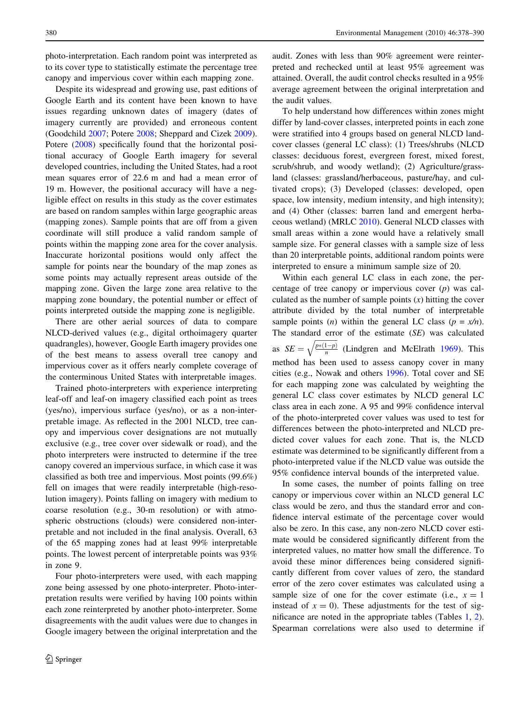photo-interpretation. Each random point was interpreted as to its cover type to statistically estimate the percentage tree canopy and impervious cover within each mapping zone.

Despite its widespread and growing use, past editions of Google Earth and its content have been known to have issues regarding unknown dates of imagery (dates of imagery currently are provided) and erroneous content (Goodchild [2007](#page-11-0); Potere [2008](#page-12-0); Sheppard and Cizek [2009](#page-12-0)). Potere [\(2008](#page-12-0)) specifically found that the horizontal positional accuracy of Google Earth imagery for several developed countries, including the United States, had a root mean squares error of 22.6 m and had a mean error of 19 m. However, the positional accuracy will have a negligible effect on results in this study as the cover estimates are based on random samples within large geographic areas (mapping zones). Sample points that are off from a given coordinate will still produce a valid random sample of points within the mapping zone area for the cover analysis. Inaccurate horizontal positions would only affect the sample for points near the boundary of the map zones as some points may actually represent areas outside of the mapping zone. Given the large zone area relative to the mapping zone boundary, the potential number or effect of points interpreted outside the mapping zone is negligible.

There are other aerial sources of data to compare NLCD-derived values (e.g., digital orthoimagery quarter quadrangles), however, Google Earth imagery provides one of the best means to assess overall tree canopy and impervious cover as it offers nearly complete coverage of the conterminous United States with interpretable images.

Trained photo-interpreters with experience interpreting leaf-off and leaf-on imagery classified each point as trees (yes/no), impervious surface (yes/no), or as a non-interpretable image. As reflected in the 2001 NLCD, tree canopy and impervious cover designations are not mutually exclusive (e.g., tree cover over sidewalk or road), and the photo interpreters were instructed to determine if the tree canopy covered an impervious surface, in which case it was classified as both tree and impervious. Most points (99.6%) fell on images that were readily interpretable (high-resolution imagery). Points falling on imagery with medium to coarse resolution (e.g., 30-m resolution) or with atmospheric obstructions (clouds) were considered non-interpretable and not included in the final analysis. Overall, 63 of the 65 mapping zones had at least 99% interpretable points. The lowest percent of interpretable points was 93% in zone 9.

Four photo-interpreters were used, with each mapping zone being assessed by one photo-interpreter. Photo-interpretation results were verified by having 100 points within each zone reinterpreted by another photo-interpreter. Some disagreements with the audit values were due to changes in Google imagery between the original interpretation and the

audit. Zones with less than 90% agreement were reinterpreted and rechecked until at least 95% agreement was attained. Overall, the audit control checks resulted in a 95% average agreement between the original interpretation and the audit values.

To help understand how differences within zones might differ by land-cover classes, interpreted points in each zone were stratified into 4 groups based on general NLCD landcover classes (general LC class): (1) Trees/shrubs (NLCD classes: deciduous forest, evergreen forest, mixed forest, scrub/shrub, and woody wetland); (2) Agriculture/grassland (classes: grassland/herbaceous, pasture/hay, and cultivated crops); (3) Developed (classes: developed, open space, low intensity, medium intensity, and high intensity); and (4) Other (classes: barren land and emergent herbaceous wetland) (MRLC [2010](#page-11-0)). General NLCD classes with small areas within a zone would have a relatively small sample size. For general classes with a sample size of less than 20 interpretable points, additional random points were interpreted to ensure a minimum sample size of 20.

Within each general LC class in each zone, the percentage of tree canopy or impervious cover  $(p)$  was calculated as the number of sample points  $(x)$  hitting the cover attribute divided by the total number of interpretable sample points (*n*) within the general LC class ( $p = x/n$ ). The standard error of the estimate (SE) was calculated as  $SE =$  $\frac{1}{p*(1-p)}$ n  $\overline{\phantom{a}}$ (Lindgren and McElrath [1969\)](#page-11-0). This method has been used to assess canopy cover in many cities (e.g., Nowak and others [1996\)](#page-12-0). Total cover and SE for each mapping zone was calculated by weighting the general LC class cover estimates by NLCD general LC class area in each zone. A 95 and 99% confidence interval of the photo-interpreted cover values was used to test for differences between the photo-interpreted and NLCD predicted cover values for each zone. That is, the NLCD estimate was determined to be significantly different from a photo-interpreted value if the NLCD value was outside the 95% confidence interval bounds of the interpreted value.

In some cases, the number of points falling on tree canopy or impervious cover within an NLCD general LC class would be zero, and thus the standard error and confidence interval estimate of the percentage cover would also be zero. In this case, any non-zero NLCD cover estimate would be considered significantly different from the interpreted values, no matter how small the difference. To avoid these minor differences being considered significantly different from cover values of zero, the standard error of the zero cover estimates was calculated using a sample size of one for the cover estimate (i.e.,  $x = 1$ ) instead of  $x = 0$ ). These adjustments for the test of significance are noted in the appropriate tables (Tables [1,](#page-3-0) [2](#page-5-0)). Spearman correlations were also used to determine if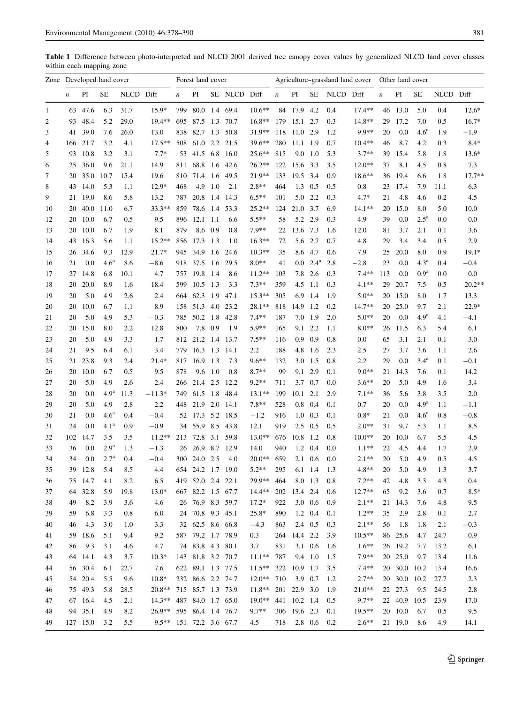<span id="page-3-0"></span>Table 1 Difference between photo-interpreted and NLCD 2001 derived tree canopy cover values by generalized NLCD land cover classes within each mapping zone

|                | Zone Developed land cover |          |                  |           | Forest land cover       |                  |                   |                 | Agriculture–grassland land cover |           |                  |              | Other land cover |           |          |                  |              |                    |           |          |
|----------------|---------------------------|----------|------------------|-----------|-------------------------|------------------|-------------------|-----------------|----------------------------------|-----------|------------------|--------------|------------------|-----------|----------|------------------|--------------|--------------------|-----------|----------|
|                | $\boldsymbol{n}$          | PI       | SE               | NLCD Diff |                         | $\boldsymbol{n}$ | PI                |                 | SE NLCD Diff                     |           | $\boldsymbol{n}$ | PI           | SE               | NLCD Diff |          | $\boldsymbol{n}$ | PI           | <b>SE</b>          | NLCD Diff |          |
| 1              | 63                        | 47.6     | 6.3              | 31.7      | $15.9*$                 | 799              |                   |                 | 80.0 1.4 69.4                    | $10.6**$  |                  | 84 17.9 4.2  |                  | 0.4       | $17.4**$ |                  | 46 13.0      | 5.0                | 0.4       | $12.6*$  |
| $\overline{c}$ | 93                        | 48.4     | 5.2              | 29.0      | $19.4**$                | 695              |                   |                 | 87.5 1.3 70.7                    | $16.8**$  |                  | 179 15.1 2.7 |                  | 0.3       | $14.8**$ | 29               | 17.2         | 7.0                | 0.5       | $16.7*$  |
| 3              | 41                        | 39.0     | 7.6              | 26.0      | 13.0                    | 838              |                   |                 | 82.7 1.3 50.8                    | 31.9**    | 118              | 11.0 2.9     |                  | 1.2       | 9.9**    | 20               | 0.0          | 4.6 <sup>a</sup>   | 1.9       | $-1.9$   |
| 4              | 166                       | 21.7     | 3.2              | 4.1       | $17.5***$               | 508              |                   |                 | 61.0 2.2 21.5                    | 39.6**    | 280              | 11.1 1.9     |                  | 0.7       | $10.4**$ | 46               | 8.7          | 4.2                | 0.3       | $8.4*$   |
| 5              | 93                        | 10.8     | 3.2              | 3.1       | $7.7*$                  | 53               | 41.5 6.8          |                 | 16.0                             | $25.6***$ | 815              | 9.0          | 1.0              | 5.3       | $3.7**$  | 39               | 15.4         | 5.8                | 1.8       | $13.6*$  |
| 6              | 25                        | 36.0     | 9.6              | 21.1      | 14.9                    | 811              | 68.8              | 1.6             | 42.6                             | $26.2**$  | 122              | 15.6         | 3.3              | 3.5       | $12.0**$ | 37               | 8.1          | 4.5                | 0.8       | 7.3      |
| 7              | 20                        | 35.0     | 10.7             | 15.4      | 19.6                    | 810              | 71.4              | 1.6             | 49.5                             | 21.9**    | 133              | 19.5         | 3.4              | 0.9       | 18.6**   | 36               | 19.4         | 6.6                | 1.8       | $17.7**$ |
| 8              | 43                        | 14.0     | 5.3              | 1.1       | $12.9*$                 | 468              | 4.9               | 1.0             | 2.1                              | $2.8**$   | 464              | 1.3          | 0.5              | 0.5       | 0.8      | 23               | 17.4         | 7.9                | 11.1      | 6.3      |
| 9              | 21                        | 19.0     | 8.6              | 5.8       | 13.2                    | 787              | 20.8              | 1.4             | 14.3                             | $6.5**$   | 101              | 5.0          | 2.2              | 0.3       | $4.7*$   | 21               | 4.8          | 4.6                | 0.2       | 4.5      |
| 10             | 20                        | 40.0     | 11.0             | 6.7       | $33.3**$                | 859              | 78.6 1.4          |                 | 53.3                             | $25.2**$  | 124              | 21.0         | 3.7              | 6.9       | $14.1**$ | 20               | 15.0         | 8.0                | 5.0       | 10.0     |
| 12             | 20                        | 10.0     | 6.7              | 0.5       | 9.5                     | 896              | $12.1$ 1.1        |                 | 6.6                              | $5.5**$   | 58               |              | 5.2 2.9          | 0.3       | 4.9      | 39               | 0.0          | $2.5^{\mathrm{a}}$ | 0.0       | 0.0      |
| 13             | 20                        | 10.0     | 6.7              | 1.9       | 8.1                     | 879              |                   | 8.6 0.9         | 0.8                              | $7.9**$   | 22               | 13.6         | 7.3              | 1.6       | 12.0     | 81               | 3.7          | 2.1                | 0.1       | 3.6      |
| 14             | 43                        | 16.3     | 5.6              | 1.1       | $15.2**$                | 856              | 17.3 1.3          |                 | 1.0                              | $16.3**$  | 72               | 5.6          | 2.7              | 0.7       | 4.8      | 29               | 3.4          | 3.4                | 0.5       | 2.9      |
| 15             | 26                        | 34.6     | 9.3              | 12.9      | $21.7*$                 | 945              | 34.9 1.6          |                 | 24.6                             | $10.3**$  | 35               | 8.6          | 4.7              | 0.6       | 7.9      | 25               | 20.0         | 8.0                | 0.9       | $19.1*$  |
| 16             | 21                        | 0.0      | 4.6 <sup>a</sup> | 8.6       | $-8.6$                  | 918              | 37.5 1.6          |                 | 29.5                             | $8.0**$   | 41               | $0.0\,$      | $2.4^{\rm a}$    | 2.8       | $-2.8$   | 23               | 0.0          | 4.3 <sup>a</sup>   | 0.4       | $-0.4$   |
| 17             | 27                        | 14.8     | 6.8              | 10.1      | 4.7                     | 757              | 19.8 1.4          |                 | 8.6                              | $11.2**$  | 103              | 7.8          | 2.6              | 0.3       | $7.4**$  | 113              | 0.0          | 0.9 <sup>a</sup>   | 0.0       | 0.0      |
| 18             | 20                        | 20.0     | 8.9              | 1.6       | 18.4                    | 599              | $10.5$ 1.3        |                 | 3.3                              | $7.3**$   | 359              | 4.5          | 1.1              | 0.3       | $4.1**$  | 29               | 20.7         | 7.5                | 0.5       | $20.2**$ |
| 19             | 20                        | 5.0      | 4.9              | 2.6       | 2.4                     | 664              | 62.3 1.9 47.1     |                 |                                  | $15.3**$  | 305              | 6.9          | 1.4              | 1.9       | $5.0**$  | 20               | 15.0         | 8.0                | 1.7       | 13.3     |
| 20             | 20                        | 10.0     | 6.7              | 1.1       | 8.9                     | 158              | 51.3 4.0 23.2     |                 |                                  | 28.1**    | 818              | 14.9         | 1.2              | 0.2       | 14.7**   | 20               | 25.0         | 9.7                | 2.1       | $22.9*$  |
| 21             | 20                        | 5.0      | 4.9              | 5.3       | $-0.3$                  | 785              | 50.2 1.8          |                 | 42.8                             | $7.4**$   | 187              | 7.0          | -1.9             | 2.0       | $5.0**$  | 20               | 0.0          | 4.9 <sup>a</sup>   | 4.1       | $-4.1$   |
| 22             | 20                        | 15.0     | 8.0              | 2.2       | 12.8                    | 800              |                   | 7.8 0.9         | 1.9                              | $5.9**$   | 165              |              | 9.1 2.2          | 1.1       | $8.0**$  | 26               | 11.5         | 6.3                | 5.4       | 6.1      |
| 23             | 20                        | 5.0      | 4.9              | 3.3       | 1.7                     |                  | 812 21.2 1.4      |                 | 13.7                             | $7.5***$  | 116              | 0.9          | 0.9              | 0.8       | 0.0      | 65               | 3.1          | 2.1                | 0.1       | 3.0      |
| 24             | 21                        | 9.5      | 6.4              | 6.1       | 3.4                     | 779              | $16.3$ 1.3        |                 | 14.1                             | 2.2       | 188              | 4.8          | 1.6              | 2.3       | 2.5      | 27               | 3.7          | 3.6                | 1.1       | 2.6      |
| 25             | 21                        | 23.8     | 9.3              | 2.4       | $21.4*$                 | 817              | 16.9 1.3          |                 | 7.3                              | $9.6**$   | 132              | 3.0          | 1.5              | 0.8       | 2.2      | 29               | 0.0          | 3.4 <sup>a</sup>   | 0.1       | $-0.1$   |
| 26             | 20                        | 10.0     | 6.7              | 0.5       | 9.5                     | 878              |                   | $9.6 \quad 1.0$ | 0.8                              | $8.7**$   | 99               |              | 9.1 2.9          | 0.1       | $9.0**$  | 21               | 14.3         | 7.6                | 0.1       | 14.2     |
| 27             | 20                        | 5.0      | 4.9              | 2.6       | 2.4                     | 266              | 21.4 2.5          |                 | 12.2                             | $9.2**$   | 711              |              | 3.7 0.7          | 0.0       | $3.6**$  | 20               | 5.0          | 4.9                | 1.6       | 3.4      |
| 28             | 20                        | 0.0      | 4.9 <sup>a</sup> | 11.3      | $-11.3*$                | 749              | 61.5 1.8          |                 | 48.4                             | $13.1**$  | 199              | $10.1$ 2.1   |                  | 2.9       | $7.1**$  | 36               | 5.6          | 3.8                | 3.5       | 2.0      |
| 29             | 20                        | 5.0      | 4.9              | 2.8       | 2.2                     | 448              | 21.9 2.0          |                 | 14.1                             | $7.8**$   | 528              | 0.8          | 0.4              | 0.1       | 0.7      | 20               | 0.0          | 4.9 <sup>a</sup>   | 1.1       | $-1.1$   |
| 30             | 21                        | 0.0      | 4.6 <sup>a</sup> | 0.4       | $-0.4$                  | 52               | 17.3 5.2          |                 | 18.5                             | $-1.2$    | 916              | 1.0          | 0.3              | 0.1       | $0.8*$   | 21               | 0.0          | 4.6 <sup>a</sup>   | 0.8       | $-0.8$   |
| 31             | 24                        | 0.0      | 4.1 <sup>a</sup> | 0.9       | $-0.9$                  | 34               | 55.9 8.5          |                 | 43.8                             | 12.1      | 919              | 2.5          | 0.5              | 0.5       | $2.0**$  | 31               | 9.7          | 5.3                | 1.1       | 8.5      |
| 32             | 102                       | 14.7     | 3.5              | 3.5       | $11.2**$                | 213              | 72.8              | 3.1             | 59.8                             | $13.0**$  | 676              | 10.8         | 1.2              | 0.8       | $10.0**$ | 20               | 10.0         | 6.7                | 5.5       | 4.5      |
| 33             | 36                        | 0.0      | 2.9 <sup>a</sup> | 1.3       | $-1.3$                  | 26               | 26.9              | 8.7             | 12.9                             | 14.0      | 940              | 1.2          | 0.4              | 0.0       | $1.1***$ | 22               | 4.5          | 4.4                | 1.7       | 2.9      |
| 34             | 34                        | 0.0      | $2.7^{a}$        | 0.4       | $-0.4$                  | 300              | 24.0              | 2.5             | 4.0                              | $20.0**$  | 659              | 2.1          | 0.6              | 0.0       | $2.1**$  | 20               | 5.0          | 4.9                | 0.5       | 4.5      |
| 35             | 39                        | 12.8     | 5.4              | 8.5       | 4.4                     | 654              |                   |                 | 24.2 1.7 19.0                    | $5.2**$   | 295              |              | 6.1 1.4          | 1.3       | 4.8**    | 20               | 5.0          | 4.9                | 1.3       | 3.7      |
| 36             |                           | 75 14.7  | 4.1              | 8.2       | 6.5                     |                  | 419 52.0 2.4 22.1 |                 |                                  | 29.9**    | 464              |              | 8.0 1.3          | 0.8       | $7.2**$  | 42               | 4.8          | 3.3                | 4.3       | 0.4      |
| 37             | 64                        | 32.8     | 5.9              | 19.8      | $13.0*$                 |                  | 667 82.2 1.5 67.7 |                 |                                  | $14.4**$  | 202              | 13.4 2.4     |                  | 0.6       | $12.7**$ | 65               | 9.2          | 3.6                | 0.7       | $8.5*$   |
| 38             | 49                        | 8.2      | 3.9              | 3.6       | 4.6                     |                  | 26 76.9 8.3 59.7  |                 |                                  | $17.2*$   | 922              |              | $3.0\quad0.6$    | 0.9       | $2.1**$  |                  | 21 14.3      | 7.6                | 4.8       | 9.5      |
| 39             | 59                        | 6.8      | 3.3              | 0.8       | 6.0                     |                  | 24 70.8 9.3 45.1  |                 |                                  | 25.8*     | 890              |              | 1.2 0.4          | 0.1       | $1.2**$  | 35               | 2.9          | 2.8                | 0.1       | 2.7      |
| 40             | 46                        | 4.3      | 3.0              | 1.0       | 3.3                     |                  | 32 62.5 8.6 66.8  |                 |                                  | $-4.3$    | 863              |              | 2.4 0.5          | 0.3       | $2.1**$  | 56               | 1.8          | 1.8                | 2.1       | $-0.3$   |
| 41             | 59                        | 18.6     | 5.1              | 9.4       | 9.2                     |                  | 587 79.2 1.7 78.9 |                 |                                  | 0.3       | 264              | 14.4 2.2     |                  | 3.9       | $10.5**$ |                  | 86 25.6      | 4.7                | 24.7      | 0.9      |
| 42             | 86                        | 9.3      | 3.1              | 4.6       | 4.7                     |                  | 74 83.8 4.3 80.1  |                 |                                  | 3.7       | 831              |              | 3.1 0.6          | 1.6       | $1.6**$  |                  | 26 19.2      | 7.7                | 13.2      | 6.1      |
| 43             |                           | 64 14.1  | 4.3              | 3.7       | $10.3*$                 |                  | 143 81.8 3.2 70.7 |                 |                                  | $11.1**$  | 787              |              | 9.4 1.0          | 1.5       | 7.9**    |                  | 20 25.0      | 9.7                | 13.4      | 11.6     |
| 44             |                           | 56 30.4  | 6.1              | 22.7      | 7.6                     |                  | 622 89.1 1.3 77.5 |                 |                                  | $11.5**$  | 322              | 10.9 1.7     |                  | 3.5       | $7.4**$  |                  | 20 30.0      | 10.2               | 13.4      | 16.6     |
| 45             |                           | 54 20.4  | 5.5              | 9.6       | $10.8*$                 |                  | 232 86.6 2.2 74.7 |                 |                                  | $12.0**$  | 710              |              | 3.9 0.7          | 1.2       | $2.7**$  |                  | 20 30.0 10.2 |                    | 27.7      | 2.3      |
| 46             |                           | 75 49.3  | 5.8              | 28.5      | $20.8**$                |                  | 715 85.7 1.3 73.9 |                 |                                  | $11.8**$  |                  | 201 22.9 3.0 |                  | 1.9       | $21.0**$ |                  | 22 27.3      | 9.5                | 24.5      | 2.8      |
| 47             |                           | 67 16.4  | 4.5              | 2.1       | $14.3**$                |                  | 487 84.0 1.7 65.0 |                 |                                  | 19.0**    |                  | 441 10.2 1.4 |                  | 0.5       | 9.7**    |                  | 22 40.9      | 10.5               | 23.9      | 17.0     |
| 48             |                           | 94 35.1  | 4.9              | 8.2       | $26.9**$                |                  | 595 86.4 1.4 76.7 |                 |                                  | $9.7**$   |                  | 306 19.6 2.3 |                  | 0.1       | 19.5**   |                  | 20 10.0      | 6.7                | 0.5       | 9.5      |
| 49             |                           | 127 15.0 | 3.2              | 5.5       | 9.5** 151 72.2 3.6 67.7 |                  |                   |                 |                                  | 4.5       | 718              |              | $2.8\quad 0.6$   | 0.2       | $2.6**$  |                  | 21 19.0      | 8.6                | 4.9       | 14.1     |
|                |                           |          |                  |           |                         |                  |                   |                 |                                  |           |                  |              |                  |           |          |                  |              |                    |           |          |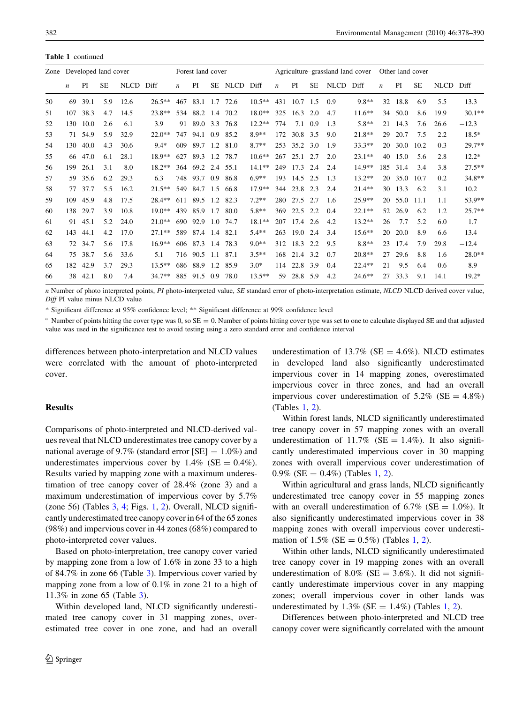Table 1 continued

| Zone |                  |      | Developed land cover |             |           | Forest land cover |               |     |             | Agriculture–grassland land cover |                  |                |           | Other land cover |           |     |      |           |             |          |
|------|------------------|------|----------------------|-------------|-----------|-------------------|---------------|-----|-------------|----------------------------------|------------------|----------------|-----------|------------------|-----------|-----|------|-----------|-------------|----------|
|      | $\boldsymbol{n}$ | PI   | SЕ                   | <b>NLCD</b> | Diff      | $\boldsymbol{n}$  | PI            | SE  | <b>NLCD</b> | Diff                             | $\boldsymbol{n}$ | PI             | <b>SE</b> | <b>NLCD</b>      | Diff      | n   | PI   | <b>SE</b> | <b>NLCD</b> | Diff     |
| 50   | 69               | 39.1 | 5.9                  | 12.6        | $26.5***$ | 467               | 83.1          | 1.7 | 72.6        | $10.5***$                        | 431              | 10.7           | 1.5       | 0.9              | 9.8**     | 32  | 18.8 | 6.9       | 5.5         | 13.3     |
| 51   | 107              | 38.3 | 4.7                  | 14.5        | $23.8**$  | 534               | 88.2          | 1.4 | 70.2        | 18.0**                           | 325              | 16.3           | 2.0       | 4.7              | $11.6***$ | 34  | 50.0 | 8.6       | 19.9        | $30.1**$ |
| 52   | 130              | 10.0 | 2.6                  | 6.1         | 3.9       | 91                | 89.0          | 3.3 | 76.8        | $12.2**$                         | 774              | 7.1            | 0.9       | 1.3              | $5.8**$   | 21  | 14.3 | 7.6       | 26.6        | $-12.3$  |
| 53   | 71               | 54.9 | 5.9                  | 32.9        | $22.0**$  | 747               | 94.1          | 0.9 | 85.2        | $8.9**$                          | 172              | 30.8 3.5       |           | 9.0              | $21.8**$  | 29  | 20.7 | 7.5       | 2.2         | $18.5*$  |
| 54   | 130              | 40.0 | 4.3                  | 30.6        | $9.4*$    | 609               | 89.7          | 1.2 | 81.0        | $8.7**$                          | 253              | 35.2           | 3.0       | 1.9              | $33.3**$  | 20  | 30.0 | 10.2      | 0.3         | $29.7**$ |
| 55   | 66               | 47.0 | 6.1                  | 28.1        | $18.9**$  | 627               | 89.3          | 1.2 | 78.7        | $10.6**$                         | 267              | $25.1$ 2.7     |           | 2.0              | $23.1**$  | 40  | 15.0 | 5.6       | 2.8         | $12.2*$  |
| 56   | 199              | 26.1 | 3.1                  | 8.0         | $18.2**$  | 364               | 69.2 2.4 55.1 |     |             | $14.1**$                         | 249              | 17.3           | 2.4       | 2.4              | 14.9**    | 185 | 31.4 | 3.4       | 3.8         | $27.5**$ |
| 57   | 59               | 35.6 | 6.2                  | 29.3        | 6.3       | 748               | 93.7          | 0.9 | 86.8        | $6.9**$                          | 193              | 14.5           | 2.5       | 1.3              | $13.2**$  | 20  | 35.0 | 10.7      | 0.2         | $34.8**$ |
| 58   | 77               | 37.7 | 5.5                  | 16.2        | $21.5***$ | 549               | 84.7          | 1.5 | -66.8       | 17.9**                           | 344              | 23.8           | 2.3       | 2.4              | $21.4**$  | 30  | 13.3 | 6.2       | 3.1         | 10.2     |
| 59   | 109              | 45.9 | 4.8                  | 17.5        | $28.4**$  | 611               | 89.5          | 1.2 | 82.3        | $7.2**$                          | 280              | 27.5           | 2.7       | 1.6              | 25.9**    | 20  | 55.0 | 11.1      | 1.1         | 53.9**   |
| 60   | 138              | 29.7 | 3.9                  | 10.8        | $19.0**$  | 439               | 85.9          | 1.7 | 80.0        | $5.8**$                          | 369              | 22.5           | 2.2       | 0.4              | $22.1**$  | 52  | 26.9 | 6.2       | 1.2         | $25.7**$ |
| 61   | 91               | 45.1 | 5.2                  | 24.0        | $21.0**$  | 690               | 92.9          | 1.0 | 74.7        | 18.1**                           | 207              | 17.4           | 2.6       | 4.2              | $13.2**$  | 26  | 7.7  | 5.2       | 6.0         | 1.7      |
| 62   | 143              | 44.1 | 4.2                  | 17.0        | $27.1**$  | 589               | 87.4 1.4      |     | 82.1        | $5.4**$                          | 263              | $19.0\quad2.4$ |           | 3.4              | $15.6***$ | 20  | 20.0 | 8.9       | 6.6         | 13.4     |
| 63   | 72               | 34.7 | 5.6                  | 17.8        | $16.9**$  | 606               | 87.3          | 1.4 | 78.3        | $9.0**$                          | 312              | 18.3           | 2.2       | 9.5              | $8.8**$   | 23  | 17.4 | 7.9       | 29.8        | $-12.4$  |
| 64   | 75               | 38.7 | 5.6                  | 33.6        | 5.1       | 716               | 90.5          | 1.1 | 87.1        | $3.5**$                          | 168              | 21.4           | 3.2       | 0.7              | $20.8**$  | 27  | 29.6 | 8.8       | 1.6         | $28.0**$ |
| 65   | 182              | 42.9 | 3.7                  | 29.3        | $13.5***$ | 686               | 88.9          | 1.2 | 85.9        | $3.0*$                           | 114              | 22.8 3.9       |           | 0.4              | $22.4**$  | 21  | 9.5  | 6.4       | 0.6         | 8.9      |
| 66   | 38               | 42.1 | 8.0                  | 7.4         | $34.7**$  | 885               | 91.5          | 0.9 | 78.0        | $13.5***$                        | 59               | 28.8           | 5.9       | 4.2              | $24.6***$ | 27  | 33.3 | 9.1       | 14.1        | $19.2*$  |

n Number of photo interpreted points, PI photo-interpreted value, SE standard error of photo-interpretation estimate, NLCD NLCD derived cover value, Diff PI value minus NLCD value

\* Significant difference at 95% confidence level; \*\* Significant difference at 99% confidence level

<sup>a</sup> Number of points hitting the cover type was 0, so  $SE = 0$ . Number of points hitting cover type was set to one to calculate displayed SE and that adjusted value was used in the significance test to avoid testing using a zero standard error and confidence interval

differences between photo-interpretation and NLCD values were correlated with the amount of photo-interpreted cover.

### Results

Comparisons of photo-interpreted and NLCD-derived values reveal that NLCD underestimates tree canopy cover by a national average of 9.7% (standard error  $[SE] = 1.0\%$ ) and underestimates impervious cover by  $1.4\%$  (SE = 0.4%). Results varied by mapping zone with a maximum underestimation of tree canopy cover of 28.4% (zone 3) and a maximum underestimation of impervious cover by 5.7% (zone 56) (Tables [3](#page-7-0), [4;](#page-8-0) Figs. [1,](#page-9-0) [2](#page-9-0)). Overall, NLCD significantly underestimated tree canopy cover in 64 of the 65 zones (98%) and impervious cover in 44 zones (68%) compared to photo-interpreted cover values.

Based on photo-interpretation, tree canopy cover varied by mapping zone from a low of 1.6% in zone 33 to a high of 84.7% in zone 66 (Table [3\)](#page-7-0). Impervious cover varied by mapping zone from a low of 0.1% in zone 21 to a high of 11.3% in zone 65 (Table [3](#page-7-0)).

Within developed land, NLCD significantly underestimated tree canopy cover in 31 mapping zones, overestimated tree cover in one zone, and had an overall underestimation of  $13.7\%$  (SE = 4.6%). NLCD estimates in developed land also significantly underestimated impervious cover in 14 mapping zones, overestimated impervious cover in three zones, and had an overall impervious cover underestimation of  $5.2\%$  (SE = 4.8%) (Tables [1](#page-3-0), [2](#page-5-0)).

Within forest lands, NLCD significantly underestimated tree canopy cover in 57 mapping zones with an overall underestimation of 11.7% (SE = 1.4%). It also significantly underestimated impervious cover in 30 mapping zones with overall impervious cover underestimation of 0.9% (SE =  $0.4\%$ ) (Tables [1](#page-3-0), [2](#page-5-0)).

Within agricultural and grass lands, NLCD significantly underestimated tree canopy cover in 55 mapping zones with an overall underestimation of 6.7% (SE =  $1.0\%$ ). It also significantly underestimated impervious cover in 38 mapping zones with overall impervious cover underestimation of  $1.5\%$  $1.5\%$  (SE = 0.5%) (Tables 1, [2](#page-5-0)).

Within other lands, NLCD significantly underestimated tree canopy cover in 19 mapping zones with an overall underestimation of 8.0% ( $SE = 3.6\%$ ). It did not significantly underestimate impervious cover in any mapping zones; overall impervious cover in other lands was underestimated by  $1.3\%$  $1.3\%$  (SE = 1.4%) (Tables 1, [2](#page-5-0)).

Differences between photo-interpreted and NLCD tree canopy cover were significantly correlated with the amount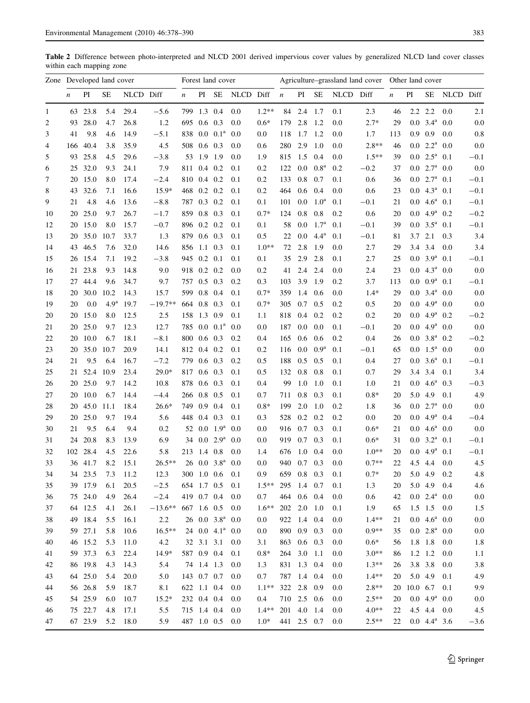<span id="page-5-0"></span>Table 2 Difference between photo-interpreted and NLCD 2001 derived impervious cover values by generalized NLCD land cover classes within each mapping zone

|    | Zone Developed land cover |          |                  |           | Forest land cover         |                  |                 |                          | Agriculture–grassland land cover Other land cover |                     |             |                 |                  |           |         |                  |                      |                                |              |         |
|----|---------------------------|----------|------------------|-----------|---------------------------|------------------|-----------------|--------------------------|---------------------------------------------------|---------------------|-------------|-----------------|------------------|-----------|---------|------------------|----------------------|--------------------------------|--------------|---------|
|    | $\boldsymbol{n}$          | PI       | SE               | NLCD Diff |                           | $\boldsymbol{n}$ | PI              |                          | SE NLCD Diff $n$                                  |                     |             | PI              | SE               | NLCD Diff |         | $\boldsymbol{n}$ | PI                   |                                | SE NLCD Diff |         |
| 1  |                           | 63 23.8  | 5.4              | 29.4      | $-5.6$                    |                  | 799 1.3 0.4     |                          | 0.0                                               | $1.2**$             |             | 84 2.4          | 1.7              | 0.1       | 2.3     | 46               |                      | $2.2$ $2.2$                    | 0.0          | 2.1     |
| 2  | 93                        | 28.0     | 4.7              | 26.8      | 1.2                       | 695              | $0.6 \quad 0.3$ |                          | 0.0                                               | $0.6*$              | 179         | 2.8             | 1.2              | 0.0       | $2.7*$  | 29               |                      | $0.0$ 3.4 <sup>a</sup> $0.0$   |              | 0.0     |
| 3  | 41                        | 9.8      | 4.6              | 14.9      | $-5.1$                    | 838              |                 | $0.0 \ 0.1^a$            | 0.0                                               | 0.0                 | 118         | 1.7             | 1.2              | 0.0       | 1.7     | 113              | 0.9                  | 0.9                            | 0.0          | 0.8     |
| 4  | 166                       | 40.4     | 3.8              | 35.9      | 4.5                       |                  | 508 0.6 0.3     |                          | 0.0                                               | 0.6                 | 280         | 2.9             | 1.0              | 0.0       | $2.8**$ | 46               |                      | $0.0 \ 2.2^{\rm a}$            | 0.0          | 0.0     |
| 5  | 93                        | 25.8     | 4.5              | 29.6      | $-3.8$                    |                  | 53 1.9 1.9      |                          | 0.0                                               | 1.9                 | 815         | 1.5             | 0.4              | 0.0       | $1.5**$ | 39               |                      | $0.0$ $2.5^a$ $0.1$            |              | $-0.1$  |
| 6  | 25                        | 32.0     | 9.3              | 24.1      | 7.9                       |                  | 811 0.4 0.2     |                          | 0.1                                               | 0.2                 | 122         | $0.0\,$         | 0.8 <sup>a</sup> | 0.2       | $-0.2$  | 37               |                      | $0.0$ $2.7^{\mathrm{a}}$ $0.0$ |              | 0.0     |
| 7  |                           | 20 15.0  | 8.0              | 17.4      | $-2.4$                    |                  | 810 0.4 0.2     |                          | 0.1                                               | 0.2                 | 133         | $0.8\,$         | 0.7              | 0.1       | 0.6     | 36               |                      | $0.0$ $2.7^a$ $0.1$            |              | $-0.1$  |
| 8  | 43                        | 32.6     | 7.1              | 16.6      | $15.9*$                   |                  | 468 0.2 0.2     |                          | 0.1                                               | 0.2                 | 464         | 0.6             | 0.4              | 0.0       | 0.6     | 23               |                      | $0.0\quad 4.3^a\quad 0.1$      |              | $-0.1$  |
| 9  | 21                        | 4.8      | 4.6              | 13.6      | $-8.8$                    |                  | 787 0.3 0.2     |                          | 0.1                                               | 0.1                 | 101         | 0.0             | 1.0 <sup>a</sup> | 0.1       | $-0.1$  | 21               |                      | $0.0\quad 4.6^a\quad 0.1$      |              | $-0.1$  |
| 10 | 20                        | 25.0     | 9.7              | 26.7      | $-1.7$                    |                  | 859 0.8 0.3     |                          | 0.1                                               | $0.7*$              | 124         | 0.8             | 0.8              | 0.2       | 0.6     | 20               |                      | $0.0$ 4.9 <sup>a</sup> 0.2     |              | $-0.2$  |
| 12 |                           | 20 15.0  | 8.0              | 15.7      | $-0.7$                    |                  | 896 0.2 0.2     |                          | 0.1                                               | 0.1                 | 58          | 0.0             | 1.7 <sup>a</sup> | 0.1       | $-0.1$  | 39               |                      | $0.0 \quad 3.5^a \quad 0.1$    |              | $-0.1$  |
| 13 | 20                        | 35.0     | 10.7             | 33.7      | 1.3                       |                  | 879 0.6 0.3     |                          | 0.1                                               | 0.5                 | 22          | 0.0             | $4.4^{\rm a}$    | 0.1       | $-0.1$  | 81               | 3.7                  | 2.1                            | 0.3          | 3.4     |
| 14 | 43                        | 46.5     | 7.6              | 32.0      | 14.6                      |                  | 856 1.1 0.3     |                          | 0.1                                               | $1.0**$             | 72          | 2.8             | 1.9              | 0.0       | 2.7     | 29               |                      | 3.4 3.4                        | 0.0          | 3.4     |
| 15 |                           | 26 15.4  | 7.1              | 19.2      | $-3.8$                    |                  | 945 0.2 0.1     |                          | 0.1                                               | 0.1                 | 35          | 2.9             | 2.8              | 0.1       | 2.7     | 25               |                      | $0.0$ $3.9^a$ $0.1$            |              | $-0.1$  |
| 16 | 21                        | 23.8     | 9.3              | 14.8      | 9.0                       |                  | 918 0.2 0.2     |                          | 0.0                                               | 0.2                 | 41          | 2.4             | 2.4              | 0.0       | 2.4     | 23               |                      | $0.0 \text{ } 4.3^{\text{a}}$  | $0.0\,$      | 0.0     |
| 17 | 27                        | 44.4     | 9.6              | 34.7      | 9.7                       |                  | 757 0.5 0.3     |                          | 0.2                                               | 0.3                 | 103         | 3.9             | 1.9              | 0.2       | 3.7     | 113              |                      | $0.0\ 0.9^a\ 0.1$              |              | $-0.1$  |
| 18 | 20                        | 30.0     | 10.2             | 14.3      | 15.7                      |                  | 599 0.8 0.4     |                          | 0.1                                               | $0.7*$              | 359         | 1.4             | 0.6              | 0.0       | $1.4*$  | 29               |                      | $0.0 \quad 3.4^a \quad 0.0$    |              | 0.0     |
| 19 | 20                        | 0.0      | 4.9 <sup>a</sup> | 19.7      | $-19.7**$                 |                  | 664 0.8 0.3     |                          | 0.1                                               | $0.7*$              | 305         | 0.7             | 0.5              | 0.2       | 0.5     | 20               | 0.0                  | $4.9^a$ 0.0                    |              | 0.0     |
| 20 | 20                        | 15.0     | 8.0              | 12.5      | 2.5                       |                  | 158 1.3 0.9     |                          | 0.1                                               | 1.1                 | 818         | 0.4             | 0.2              | 0.2       | 0.2     | 20               | 0.0                  | 4.9 <sup>a</sup>               | 0.2          | $-0.2$  |
| 21 | 20                        | 25.0     | 9.7              | 12.3      | 12.7                      |                  |                 | 785 0.0 0.1 <sup>a</sup> | 0.0                                               | 0.0                 | 187         | $0.0\,$         | 0.0              | 0.1       | $-0.1$  | 20               |                      | $0.0\ 4.9^a$                   | $0.0\,$      | 0.0     |
| 22 | 20                        | 10.0     | 6.7              | 18.1      | $-8.1$                    |                  | 800 0.6 0.3     |                          | 0.2                                               | 0.4                 | 165         | 0.6             | 0.6              | 0.2       | 0.4     | 26               |                      | $0.0$ 3.8 <sup>a</sup> 0.2     |              | $-0.2$  |
| 23 | 20                        | 35.0     | 10.7             | 20.9      | 14.1                      |                  | 812 0.4 0.2     |                          | 0.1                                               | 0.2                 | 116         | $0.0\,$         | 0.9 <sup>a</sup> | 0.1       | $-0.1$  | 65               |                      | $0.0 \t1.5^a \t0.0$            |              | 0.0     |
| 24 | 21                        | 9.5      | 6.4              | 16.7      | $-7.2$                    |                  | 779 0.6 0.3     |                          | 0.2                                               | 0.5                 | 188         | $0.5\,$         | 0.5              | 0.1       | 0.4     | 27               | $0.0\,$              | $3.6^a$ 0.1                    |              | $-0.1$  |
| 25 |                           | 21 52.4  | 10.9             | 23.4      | $29.0*$                   |                  | 817 0.6 0.3     |                          | 0.1                                               | 0.5                 | 132         | 0.8             | 0.8              | 0.1       | 0.7     | 29               |                      | 3.4 3.4                        | 0.1          | 3.4     |
| 26 |                           | 20 25.0  | 9.7              | 14.2      | 10.8                      |                  | 878 0.6 0.3     |                          | 0.1                                               | 0.4                 | 99          | 1.0             | 1.0              | 0.1       | 1.0     | 21               |                      | $0.0 \quad 4.6^a \quad 0.3$    |              | $-0.3$  |
| 27 |                           | 20 10.0  | 6.7              | 14.4      | $-4.4$                    |                  | 266 0.8 0.5     |                          | 0.1                                               | 0.7                 | 711         | 0.8             | 0.3              | 0.1       | $0.8*$  | 20               |                      | 5.0 4.9                        | 0.1          | 4.9     |
| 28 |                           | 20 45.0  | 11.1             | 18.4      | $26.6*$                   |                  | 749 0.9 0.4     |                          | 0.1                                               | $0.8*$              | 199         | 2.0             | 1.0              | 0.2       | 1.8     | 36               |                      | $0.0\ 2.7^{\rm a}$             | 0.0          | 0.0     |
| 29 | 20                        | 25.0     | 9.7              | 19.4      | 5.6                       |                  | 448 0.4 0.3     |                          | 0.1                                               | 0.3                 | 528         | 0.2             | 0.2              | 0.2       | 0.0     | 20               |                      | $0.0 \text{ } 4.9^{\text{a}}$  | 0.4          | $-0.4$  |
| 30 | 21                        | 9.5      | 6.4              | 9.4       | 0.2                       |                  |                 | 52 0.0 $1.9^a$           | 0.0                                               | 0.0                 | 916         | 0.7             | 0.3              | 0.1       | $0.6*$  | 21               |                      | $0.0 \t4.6^a$                  | $0.0\,$      | 0.0     |
| 31 | 24                        | 20.8     | 8.3              | 13.9      | 6.9                       |                  |                 | 34 $0.0$ $2.9^a$         | 0.0                                               | 0.0                 | 919         | 0.7             | 0.3              | 0.1       | $0.6*$  | 31               |                      | $0.0 \, 3.2^{\rm a}$           | 0.1          | $-0.1$  |
| 32 |                           | 102 28.4 | 4.5              | 22.6      | 5.8                       |                  | 213 1.4 0.8     |                          | 0.0                                               | 1.4                 | 676         | 1.0             | 0.4              | 0.0       | $1.0**$ | 20               |                      | $0.0\;\;4.9^{\rm a}$           | 0.1          | $-0.1$  |
| 33 |                           | 36 41.7  | 8.2              | 15.1      | $26.5**$                  |                  |                 | $260.03.8^a$             | 0.0                                               | 0.0                 | 940         | 0.7             | 0.3              | 0.0       | $0.7**$ | 22               |                      | 4.5 4.4                        | 0.0          | 4.5     |
| 34 |                           | 34 23.5  |                  | 7.3 11.2  | 12.3                      |                  |                 | 300 1.0 0.6 0.1          |                                                   | $0.9\,$             |             |                 | 659 0.8 0.3      | 0.1       | $0.7*$  | 20               |                      | $5.0 \quad 4.9$                | 0.2          | 4.8     |
| 35 |                           | 39 17.9  | 6.1              | 20.5      | $-2.5$                    |                  |                 | 654 1.7 0.5 0.1          |                                                   | $1.5**$ 295 1.4 0.7 |             |                 |                  | 0.1       | 1.3     | 20               |                      | 5.0 4.9 0.4                    |              | 4.6     |
| 36 |                           | 75 24.0  | 4.9              | 26.4      | $-2.4$                    |                  |                 | 419 0.7 0.4              | $0.0\,$                                           | 0.7                 | 464         |                 | $0.6 \quad 0.4$  | 0.0       | 0.6     | 42               |                      | $0.0$ $2.4^a$ $0.0$            |              | $0.0\,$ |
| 37 |                           | 64 12.5  | 4.1              | 26.1      | $-13.6**$ 667 1.6 0.5 0.0 |                  |                 |                          |                                                   | $1.6**$ 202 2.0 1.0 |             |                 |                  | 0.1       | 1.9     | 65               |                      | $1.5$ $1.5$ 0.0                |              | 1.5     |
| 38 |                           | 49 18.4  | 5.5              | 16.1      | 2.2                       |                  |                 | $26$ 0.0 $3.8^a$ 0.0     |                                                   | $0.0\,$             | 922         | $1.4 \quad 0.4$ |                  | 0.0       | $1.4**$ | 21               |                      | $0.0 \t4.6^a \t0.0$            |              | $0.0\,$ |
| 39 |                           | 59 27.1  | 5.8              | 10.6      | $16.5**$                  |                  |                 | $24$ 0.0 $4.1^a$ 0.0     |                                                   | $0.0\,$             | 890         |                 | $0.9\quad 0.3$   | $0.0\,$   | $0.9**$ | 35               |                      | $0.0$ $2.8^a$ $0.0$            |              | $0.0\,$ |
| 40 |                           | 46 15.2  | 5.3              | 11.0      | 4.2                       |                  |                 | 32 3.1 3.1               | 0.0                                               | 3.1                 |             | 863 0.6 0.3     |                  | 0.0       | $0.6*$  | 56               |                      | $1.8$ $1.8$ 0.0                |              | $1.8\,$ |
| 41 |                           | 59 37.3  | 6.3              | 22.4      | 14.9*                     |                  |                 | 587 0.9 0.4              | 0.1                                               | $0.8\,{*}$          |             | 264 3.0 1.1     |                  | 0.0       | $3.0**$ | 86               |                      | $1.2$ 1.2                      | 0.0          | $1.1\,$ |
| 42 |                           | 86 19.8  | 4.3              | 14.3      | 5.4                       |                  |                 | 74 1.4 1.3               | 0.0                                               | 1.3                 |             | 831 1.3 0.4     |                  | 0.0       | $1.3**$ | 26               |                      | 3.8 3.8                        | 0.0          | 3.8     |
| 43 |                           | 64 25.0  | 5.4              | 20.0      | $5.0\,$                   |                  |                 | 143 0.7 0.7              | 0.0                                               | $0.7\,$             |             | 787 1.4 0.4     |                  | $0.0\,$   | $1.4**$ | 20               |                      | 5.0 4.9                        | 0.1          | 4.9     |
| 44 |                           | 56 26.8  | 5.9              | 18.7      | 8.1                       |                  |                 | 622 1.1 0.4              | 0.0                                               | $1.1**$ 322 2.8 0.9 |             |                 |                  | 0.0       | $2.8**$ | 20               | $10.0 \t 6.7 \t 0.1$ |                                |              | 9.9     |
| 45 |                           | 54 25.9  | 6.0              | 10.7      | $15.2*$                   |                  |                 | 232 0.4 0.4              | 0.0                                               | $0.4\,$             |             | 710 2.5 0.6     |                  | 0.0       | $2.5**$ | 20               |                      | $0.0\quad 4.9^a\quad 0.0$      |              | $0.0\,$ |
| 46 |                           | 75 22.7  | 4.8              | 17.1      | 5.5                       |                  |                 | 715 1.4 0.4 0.0          |                                                   | $1.4**$             | 201 4.0 1.4 |                 |                  | $0.0\,$   | $4.0**$ | 22               |                      | 4.5 4.4 0.0                    |              | 4.5     |
| 47 |                           | 67 23.9  |                  | 5.2 18.0  | 5.9                       |                  |                 | 487 1.0 0.5 0.0          |                                                   | $1.0*$              |             | 441 2.5 0.7     |                  | 0.0       | $2.5**$ | 22               |                      | $0.0$ 4.4 <sup>a</sup> 3.6     |              | $-3.6$  |
|    |                           |          |                  |           |                           |                  |                 |                          |                                                   |                     |             |                 |                  |           |         |                  |                      |                                |              |         |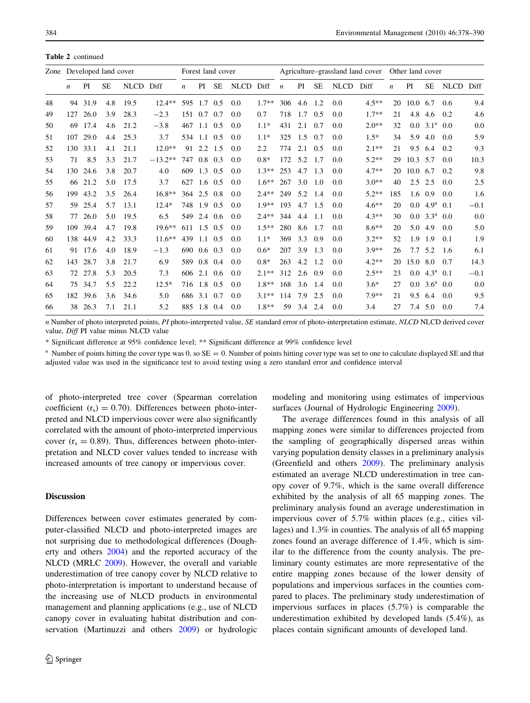|    | Zone Developed land cover |          |           |           | Forest land cover |                  |                 |           | Agriculture-grassland land cover |         |                  |     | Other land cover |             |         |                  |                  |                    |             |        |
|----|---------------------------|----------|-----------|-----------|-------------------|------------------|-----------------|-----------|----------------------------------|---------|------------------|-----|------------------|-------------|---------|------------------|------------------|--------------------|-------------|--------|
|    | n                         | PI       | <b>SE</b> | NLCD Diff |                   | $\boldsymbol{n}$ | PI              | <b>SE</b> | NLCD Diff                        |         | $\boldsymbol{n}$ | PI  | <b>SE</b>        | <b>NLCD</b> | Diff    | $\boldsymbol{n}$ | PI               | <b>SE</b>          | <b>NLCD</b> | Diff   |
| 48 | 94                        | 31.9     | 4.8       | 19.5      | $12.4**$          | 595              | 1.7 0.5         |           | 0.0                              | $1.7**$ | 306              | 4.6 | 1.2              | 0.0         | $4.5**$ | 20               | $10.0 \quad 6.7$ |                    | 0.6         | 9.4    |
| 49 | 127                       | 26.0     | 3.9       | 28.3      | $-2.3$            | 151 0.7          |                 | 0.7       | 0.0                              | 0.7     | 718              | 1.7 | 0.5              | 0.0         | $1.7**$ | 21               | 4.8              | 4.6                | 0.2         | 4.6    |
| 50 | 69                        | 17.4     | 4.6       | 21.2      | $-3.8$            | 467              | 1.1             | 0.5       | 0.0                              | $1.1*$  | 431              | 2.1 | 0.7              | 0.0         | $2.0**$ | 32               | 0.0              | 3.1 <sup>a</sup>   | 0.0         | 0.0    |
| 51 | 107                       | 29.0     | 4.4       | 25.3      | 3.7               | 534              | $1.1 \quad 0.5$ |           | 0.0                              | $1.1*$  | 325              | 1.5 | 0.7              | 0.0         | $1.5*$  | 34               | 5.9              | 4.0                | 0.0         | 5.9    |
| 52 | 130                       | 33.1     | 4.1       | 21.1      | $12.0**$          | 91               | 2.2             | 1.5       | 0.0                              | 2.2     | 774              | 2.1 | 0.5              | 0.0         | $2.1**$ | 21               | 9.5              | 6.4                | 0.2         | 9.3    |
| 53 | 71                        | 8.5      | 3.3       | 21.7      | $-13.2**$         | 747              | 0.8             | 0.3       | 0.0                              | $0.8*$  | 172              | 5.2 | 1.7              | 0.0         | $5.2**$ | 29               | 10.3             | 5.7                | 0.0         | 10.3   |
| 54 |                           | 130 24.6 | 3.8       | 20.7      | 4.0               | 609              | $1.3 \quad 0.5$ |           | 0.0                              | $1.3**$ | 253              | 4.7 | 1.3              | 0.0         | $4.7**$ | 20               | $10.0 \quad 6.7$ |                    | 0.2         | 9.8    |
| 55 | 66                        | 21.2     | 5.0       | 17.5      | 3.7               | 627              | $1.6 \quad 0.5$ |           | 0.0                              | $1.6**$ | 267              | 3.0 | -1.0             | 0.0         | $3.0**$ | 40               |                  | $2.5$ 2.5          | 0.0         | 2.5    |
| 56 | 199                       | 43.2     | 3.5       | 26.4      | $16.8**$          | 364              | 2.5             | 0.8       | 0.0                              | $2.4**$ | 249              | 5.2 | 1.4              | 0.0         | $5.2**$ | 185              | 1.6              | 0.9                | 0.0         | 1.6    |
| 57 | 59                        | 25.4     | 5.7       | 13.1      | $12.4*$           | 748              | 1.9             | 0.5       | 0.0                              | $1.9**$ | 193              | 4.7 | 1.5              | 0.0         | $4.6**$ | 20               | $0.0\,$          | 4.9 <sup>a</sup>   | 0.1         | $-0.1$ |
| 58 | 77                        | 26.0     | 5.0       | 19.5      | 6.5               | 549              |                 | 2.4 0.6   | 0.0                              | $2.4**$ | 344              | 4.4 | -1.1             | 0.0         | $4.3**$ | 30               | 0.0              | $3.3^{\mathrm{a}}$ | 0.0         | 0.0    |
| 59 | 109                       | 39.4     | 4.7       | 19.8      | $19.6***$         | 611              | 1.5             | 0.5       | 0.0                              | $1.5**$ | 280              | 8.6 | 1.7              | 0.0         | $8.6**$ | 20               | 5.0              | 4.9                | 0.0         | 5.0    |
| 60 |                           | 138 44.9 | 4.2       | 33.3      | $11.6**$          | 439              | 1.1             | 0.5       | 0.0                              | $1.1*$  | 369              | 3.3 | 0.9              | 0.0         | $3.2**$ | 52               | 1.9              | 1.9                | 0.1         | 1.9    |
| 61 | 91                        | 17.6     | 4.0       | 18.9      | $-1.3$            | 690              | $0.6 \quad 0.3$ |           | 0.0                              | $0.6*$  | 207              | 3.9 | 1.3              | 0.0         | $3.9**$ | 26               | 7.7              | 5.2                | 1.6         | 6.1    |
| 62 | 143                       | 28.7     | 3.8       | 21.7      | 6.9               | 589              | 0.8             | 0.4       | 0.0                              | $0.8*$  | 263              | 4.2 | 1.2              | 0.0         | $4.2**$ | 20               | 15.0             | 8.0                | 0.7         | 14.3   |
| 63 | 72                        | 27.8     | 5.3       | 20.5      | 7.3               | 606              | 2.1             | 0.6       | 0.0                              | $2.1**$ | 312              | 2.6 | 0.9              | 0.0         | $2.5**$ | 23               | 0.0              | 4.3 <sup>a</sup>   | 0.1         | $-0.1$ |
| 64 |                           | 75 34.7  | 5.5       | 22.2      | $12.5*$           | 716              | 1.8 0.5         |           | 0.0                              | $1.8**$ | 168              | 3.6 | 1.4              | 0.0         | $3.6*$  | 27               | 0.0              | 3.6 <sup>a</sup>   | 0.0         | 0.0    |
| 65 |                           | 182 39.6 | 3.6       | 34.6      | 5.0               | 686              | 3.1             | 0.7       | 0.0                              | $3.1**$ | 114              | 7.9 | 2.5              | 0.0         | $7.9**$ | 21               | 9.5              | 6.4                | 0.0         | 9.5    |
| 66 | 38                        | 26.3     | 7.1       | 21.1      | 5.2               | 885              | 1.8 0.4         |           | 0.0                              | $1.8**$ | 59               | 3.4 | 2.4              | 0.0         | 3.4     | 27               |                  | 7.4 5.0            | 0.0         | 7.4    |

n Number of photo interpreted points, PI photo-interpreted value, SE standard error of photo-interpretation estimate, NLCD NLCD derived cover value, Diff PI value minus NLCD value

\* Significant difference at 95% confidence level; \*\* Significant difference at 99% confidence level

<sup>a</sup> Number of points hitting the cover type was 0, so  $SE = 0$ . Number of points hitting cover type was set to one to calculate displayed SE and that adjusted value was used in the significance test to avoid testing using a zero standard error and confidence interval

of photo-interpreted tree cover (Spearman correlation coefficient  $(r_s) = 0.70$ ). Differences between photo-interpreted and NLCD impervious cover were also significantly correlated with the amount of photo-interpreted impervious cover  $(r_s = 0.89)$ . Thus, differences between photo-interpretation and NLCD cover values tended to increase with increased amounts of tree canopy or impervious cover.

#### **Discussion**

Differences between cover estimates generated by computer-classified NLCD and photo-interpreted images are not surprising due to methodological differences (Dougherty and others [2004](#page-11-0)) and the reported accuracy of the NLCD (MRLC [2009\)](#page-11-0). However, the overall and variable underestimation of tree canopy cover by NLCD relative to photo-interpretation is important to understand because of the increasing use of NLCD products in environmental management and planning applications (e.g., use of NLCD canopy cover in evaluating habitat distribution and conservation (Martinuzzi and others [2009\)](#page-11-0) or hydrologic modeling and monitoring using estimates of impervious surfaces (Journal of Hydrologic Engineering [2009](#page-11-0)).

The average differences found in this analysis of all mapping zones were similar to differences projected from the sampling of geographically dispersed areas within varying population density classes in a preliminary analysis (Greenfield and others [2009](#page-11-0)). The preliminary analysis estimated an average NLCD underestimation in tree canopy cover of 9.7%, which is the same overall difference exhibited by the analysis of all 65 mapping zones. The preliminary analysis found an average underestimation in impervious cover of 5.7% within places (e.g., cities villages) and 1.3% in counties. The analysis of all 65 mapping zones found an average difference of 1.4%, which is similar to the difference from the county analysis. The preliminary county estimates are more representative of the entire mapping zones because of the lower density of populations and impervious surfaces in the counties compared to places. The preliminary study underestimation of impervious surfaces in places (5.7%) is comparable the underestimation exhibited by developed lands (5.4%), as places contain significant amounts of developed land.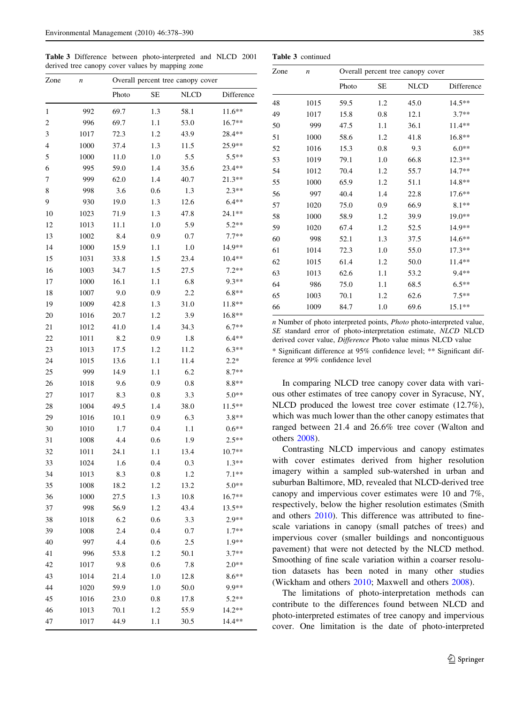<span id="page-7-0"></span>Table 3 Difference between photo-interpreted and NLCD 2001 derived tree canopy cover values by mapping zone

| Zone                    | n    | Overall percent tree canopy cover |           |             |            |  |  |  |  |  |
|-------------------------|------|-----------------------------------|-----------|-------------|------------|--|--|--|--|--|
|                         |      | Photo                             | <b>SE</b> | <b>NLCD</b> | Difference |  |  |  |  |  |
| 1                       | 992  | 69.7                              | 1.3       | 58.1        | $11.6**$   |  |  |  |  |  |
| $\overline{\mathbf{c}}$ | 996  | 69.7                              | 1.1       | 53.0        | $16.7**$   |  |  |  |  |  |
| 3                       | 1017 | 72.3                              | 1.2       | 43.9        | $28.4**$   |  |  |  |  |  |
| 4                       | 1000 | 37.4                              | 1.3       | 11.5        | 25.9**     |  |  |  |  |  |
| 5                       | 1000 | 11.0                              | 1.0       | 5.5         | $5.5**$    |  |  |  |  |  |
| 6                       | 995  | 59.0                              | 1.4       | 35.6        | $23.4**$   |  |  |  |  |  |
| 7                       | 999  | 62.0                              | 1.4       | 40.7        | 21.3**     |  |  |  |  |  |
| 8                       | 998  | 3.6                               | 0.6       | 1.3         | $2.3**$    |  |  |  |  |  |
| 9                       | 930  | 19.0                              | 1.3       | 12.6        | $6.4**$    |  |  |  |  |  |
| 10                      | 1023 | 71.9                              | 1.3       | 47.8        | $24.1**$   |  |  |  |  |  |
| 12                      | 1013 | 11.1                              | 1.0       | 5.9         | $5.2**$    |  |  |  |  |  |
| 13                      | 1002 | 8.4                               | 0.9       | 0.7         | $7.7**$    |  |  |  |  |  |
| 14                      | 1000 | 15.9                              | 1.1       | 1.0         | 14.9**     |  |  |  |  |  |
| 15                      | 1031 | 33.8                              | 1.5       | 23.4        | $10.4**$   |  |  |  |  |  |
| 16                      | 1003 | 34.7                              | 1.5       | 27.5        | $7.2**$    |  |  |  |  |  |
| 17                      | 1000 | 16.1                              | 1.1       | 6.8         | $9.3**$    |  |  |  |  |  |
| 18                      | 1007 | 9.0                               | 0.9       | 2.2         | $6.8**$    |  |  |  |  |  |
| 19                      | 1009 | 42.8                              | 1.3       | 31.0        | $11.8**$   |  |  |  |  |  |
| 20                      | 1016 | 20.7                              | 1.2       | 3.9         | $16.8**$   |  |  |  |  |  |
| 21                      | 1012 | 41.0                              | 1.4       | 34.3        | $6.7**$    |  |  |  |  |  |
| 22                      | 1011 | 8.2                               | 0.9       | 1.8         | $6.4**$    |  |  |  |  |  |
| 23                      | 1013 | 17.5                              | 1.2       | 11.2        | $6.3**$    |  |  |  |  |  |
| 24                      | 1015 | 13.6                              | 1.1       | 11.4        | $2.2*$     |  |  |  |  |  |
| 25                      | 999  | 14.9                              | 1.1       | 6.2         | $8.7**$    |  |  |  |  |  |
| 26                      | 1018 | 9.6                               | 0.9       | 0.8         | $8.8**$    |  |  |  |  |  |
| 27                      | 1017 | 8.3                               | 0.8       | 3.3         | $5.0**$    |  |  |  |  |  |
| 28                      | 1004 | 49.5                              | 1.4       | 38.0        | $11.5**$   |  |  |  |  |  |
| 29                      | 1016 | 10.1                              | 0.9       | 6.3         | $3.8**$    |  |  |  |  |  |
| 30                      | 1010 | 1.7                               | 0.4       | 1.1         | $0.6**$    |  |  |  |  |  |
| 31                      | 1008 | 4.4                               | 0.6       | 1.9         | $2.5**$    |  |  |  |  |  |
| 32                      | 1011 | 24.1                              | 1.1       | 13.4        | $10.7**$   |  |  |  |  |  |
| 33                      | 1024 | 1.6                               | 0.4       | 0.3         | $1.3**$    |  |  |  |  |  |
| 34                      | 1013 | 8.3                               | 0.8       | 1.2         | $7.1**$    |  |  |  |  |  |
| 35                      | 1008 | 18.2                              | 1.2       | 13.2        | $5.0**$    |  |  |  |  |  |
| 36                      | 1000 | 27.5                              | 1.3       | 10.8        | $16.7**$   |  |  |  |  |  |
| 37                      | 998  | 56.9                              | 1.2       | 43.4        | $13.5**$   |  |  |  |  |  |
| 38                      | 1018 | 6.2                               | 0.6       | 3.3         | $2.9**$    |  |  |  |  |  |
| 39                      | 1008 | 2.4                               | 0.4       | 0.7         | $1.7**$    |  |  |  |  |  |
| 40                      | 997  | 4.4                               | 0.6       | 2.5         | 1.9**      |  |  |  |  |  |
| 41                      | 996  | 53.8                              | 1.2       | 50.1        | $3.7**$    |  |  |  |  |  |
| 42                      | 1017 | 9.8                               | 0.6       | 7.8         | $2.0**$    |  |  |  |  |  |
| 43                      | 1014 | 21.4                              | 1.0       | 12.8        | $8.6**$    |  |  |  |  |  |
| 44                      | 1020 | 59.9                              | 1.0       | 50.0        | 9.9**      |  |  |  |  |  |
| 45                      | 1016 | 23.0                              | 0.8       | 17.8        | $5.2**$    |  |  |  |  |  |
| 46                      | 1013 | 70.1                              | 1.2       | 55.9        | $14.2**$   |  |  |  |  |  |
| 47                      | 1017 | 44.9                              | 1.1       | 30.5        | $14.4**$   |  |  |  |  |  |
|                         |      |                                   |           |             |            |  |  |  |  |  |

| Zone | $\boldsymbol{n}$ |       |           | Overall percent tree canopy cover |            |
|------|------------------|-------|-----------|-----------------------------------|------------|
|      |                  | Photo | <b>SE</b> | <b>NLCD</b>                       | Difference |
| 48   | 1015             | 59.5  | 1.2       | 45.0                              | $14.5**$   |
| 49   | 1017             | 15.8  | 0.8       | 12.1                              | $3.7**$    |
| 50   | 999              | 47.5  | 1.1       | 36.1                              | 11.4**     |
| 51   | 1000             | 58.6  | 1.2       | 41.8                              | $16.8**$   |
| 52   | 1016             | 15.3  | 0.8       | 9.3                               | $6.0**$    |
| 53   | 1019             | 79.1  | 1.0       | 66.8                              | $12.3**$   |
| 54   | 1012             | 70.4  | 1.2       | 55.7                              | 14.7**     |
| 55   | 1000             | 65.9  | 1.2       | 51.1                              | 14.8**     |
| 56   | 997              | 40.4  | 1.4       | 22.8                              | $17.6**$   |
| 57   | 1020             | 75.0  | 0.9       | 66.9                              | $8.1**$    |
| 58   | 1000             | 58.9  | 1.2       | 39.9                              | $19.0**$   |
| 59   | 1020             | 67.4  | 1.2       | 52.5                              | 14.9**     |
| 60   | 998              | 52.1  | 1.3       | 37.5                              | $14.6**$   |
| 61   | 1014             | 72.3  | 1.0       | 55.0                              | $17.3**$   |
| 62   | 1015             | 61.4  | 1.2       | 50.0                              | 11.4**     |
| 63   | 1013             | 62.6  | 1.1       | 53.2                              | 9.4**      |
| 64   | 986              | 75.0  | 1.1       | 68.5                              | $6.5**$    |
| 65   | 1003             | 70.1  | 1.2       | 62.6                              | $7.5**$    |
| 66   | 1009             | 84.7  | 1.0       | 69.6                              | $15.1**$   |
|      |                  |       |           |                                   |            |

Table 3 continued

n Number of photo interpreted points, Photo photo-interpreted value, SE standard error of photo-interpretation estimate, NLCD NLCD derived cover value, Difference Photo value minus NLCD value \* Significant difference at 95% confidence level; \*\* Significant difference at 99% confidence level

In comparing NLCD tree canopy cover data with various other estimates of tree canopy cover in Syracuse, NY, NLCD produced the lowest tree cover estimate  $(12.7\%)$ , which was much lower than the other canopy estimates that ranged between 21.4 and 26.6% tree cover (Walton and others [2008\)](#page-12-0).

Contrasting NLCD impervious and canopy estimates with cover estimates derived from higher resolution imagery within a sampled sub-watershed in urban and suburban Baltimore, MD, revealed that NLCD-derived tree canopy and impervious cover estimates were 10 and 7%, respectively, below the higher resolution estimates (Smith and others [2010\)](#page-12-0). This difference was attributed to finescale variations in canopy (small patches of trees) and impervious cover (smaller buildings and noncontiguous pavement) that were not detected by the NLCD method. Smoothing of fine scale variation within a coarser resolution datasets has been noted in many other studies (Wickham and others [2010](#page-12-0); Maxwell and others [2008\)](#page-11-0).

The limitations of photo-interpretation methods can contribute to the differences found between NLCD and photo-interpreted estimates of tree canopy and impervious cover. One limitation is the date of photo-interpreted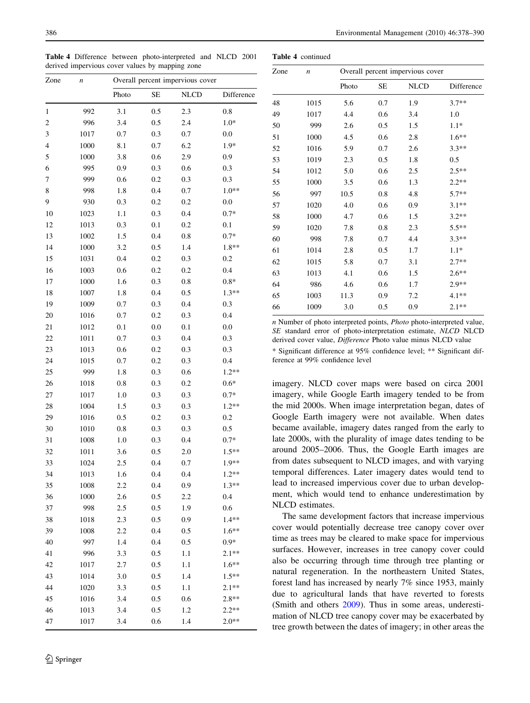<span id="page-8-0"></span>Table 4 Difference between photo-interpreted and NLCD 2001 derived impervious cover values by mapping zone

| Zone                    | $\boldsymbol{n}$ | Overall percent impervious cover |     |             |            |  |  |  |  |  |  |
|-------------------------|------------------|----------------------------------|-----|-------------|------------|--|--|--|--|--|--|
|                         |                  | Photo                            | SE  | <b>NLCD</b> | Difference |  |  |  |  |  |  |
| $\mathbf{1}$            | 992              | 3.1                              | 0.5 | 2.3         | 0.8        |  |  |  |  |  |  |
| $\overline{\mathbf{c}}$ | 996              | 3.4                              | 0.5 | 2.4         | $1.0*$     |  |  |  |  |  |  |
| 3                       | 1017             | 0.7                              | 0.3 | 0.7         | 0.0        |  |  |  |  |  |  |
| 4                       | 1000             | 8.1                              | 0.7 | 6.2         | 1.9*       |  |  |  |  |  |  |
| 5                       | 1000             | 3.8                              | 0.6 | 2.9         | 0.9        |  |  |  |  |  |  |
| 6                       | 995              | 0.9                              | 0.3 | 0.6         | 0.3        |  |  |  |  |  |  |
| 7                       | 999              | 0.6                              | 0.2 | 0.3         | 0.3        |  |  |  |  |  |  |
| 8                       | 998              | 1.8                              | 0.4 | 0.7         | $1.0**$    |  |  |  |  |  |  |
| 9                       | 930              | 0.3                              | 0.2 | 0.2         | 0.0        |  |  |  |  |  |  |
| 10                      | 1023             | 1.1                              | 0.3 | 0.4         | $0.7*$     |  |  |  |  |  |  |
| 12                      | 1013             | 0.3                              | 0.1 | 0.2         | 0.1        |  |  |  |  |  |  |
| 13                      | 1002             | 1.5                              | 0.4 | 0.8         | $0.7*$     |  |  |  |  |  |  |
| 14                      | 1000             | 3.2                              | 0.5 | 1.4         | 1.8**      |  |  |  |  |  |  |
| 15                      | 1031             | 0.4                              | 0.2 | 0.3         | 0.2        |  |  |  |  |  |  |
| 16                      | 1003             | 0.6                              | 0.2 | 0.2         | 0.4        |  |  |  |  |  |  |
| 17                      | 1000             | 1.6                              | 0.3 | 0.8         | $0.8*$     |  |  |  |  |  |  |
| 18                      | 1007             | 1.8                              | 0.4 | 0.5         | $1.3**$    |  |  |  |  |  |  |
| 19                      | 1009             | 0.7                              | 0.3 | 0.4         | 0.3        |  |  |  |  |  |  |
| 20                      | 1016             | 0.7                              | 0.2 | 0.3         | 0.4        |  |  |  |  |  |  |
| 21                      | 1012             | 0.1                              | 0.0 | 0.1         | 0.0        |  |  |  |  |  |  |
| 22                      | 1011             | 0.7                              | 0.3 | 0.4         | 0.3        |  |  |  |  |  |  |
| 23                      | 1013             | 0.6                              | 0.2 | 0.3         | 0.3        |  |  |  |  |  |  |
| 24                      | 1015             | 0.7                              | 0.2 | 0.3         | 0.4        |  |  |  |  |  |  |
| 25                      | 999              | 1.8                              | 0.3 | 0.6         | $1.2**$    |  |  |  |  |  |  |
| 26                      | 1018             | 0.8                              | 0.3 | 0.2         | $0.6*$     |  |  |  |  |  |  |
| 27                      | 1017             | 1.0                              | 0.3 | 0.3         | $0.7*$     |  |  |  |  |  |  |
| 28                      | 1004             | 1.5                              | 0.3 | 0.3         | $1.2**$    |  |  |  |  |  |  |
| 29                      | 1016             | 0.5                              | 0.2 | 0.3         | 0.2        |  |  |  |  |  |  |
| 30                      | 1010             | 0.8                              | 0.3 | 0.3         | 0.5        |  |  |  |  |  |  |
| 31                      | 1008             | 1.0                              | 0.3 | 0.4         | $0.7*$     |  |  |  |  |  |  |
| 32                      | 1011             | 3.6                              | 0.5 | 2.0         | $1.5**$    |  |  |  |  |  |  |
| 33                      | 1024             | 2.5                              | 0.4 | 0.7         | $1.9**$    |  |  |  |  |  |  |
| 34                      | 1013             | 1.6                              | 0.4 | 0.4         | $1.2**$    |  |  |  |  |  |  |
| 35                      | 1008             | 2.2                              | 0.4 | 0.9         | $1.3**$    |  |  |  |  |  |  |
| 36                      | 1000             | 2.6                              | 0.5 | 2.2         | 0.4        |  |  |  |  |  |  |
| 37                      | 998              | 2.5                              | 0.5 | 1.9         | 0.6        |  |  |  |  |  |  |
| 38                      | 1018             | 2.3                              | 0.5 | 0.9         | $1.4**$    |  |  |  |  |  |  |
| 39                      | 1008             | 2.2                              | 0.4 | 0.5         | $1.6***$   |  |  |  |  |  |  |
| 40                      | 997              | 1.4                              | 0.4 | 0.5         | $0.9*$     |  |  |  |  |  |  |
| 41                      | 996              | 3.3                              | 0.5 | 1.1         | $2.1**$    |  |  |  |  |  |  |
| 42                      | 1017             | 2.7                              | 0.5 | 1.1         | $1.6**$    |  |  |  |  |  |  |
| 43                      | 1014             | 3.0                              | 0.5 | 1.4         | $1.5**$    |  |  |  |  |  |  |
| 44                      | 1020             | 3.3                              | 0.5 | 1.1         | $2.1**$    |  |  |  |  |  |  |
| 45                      | 1016             | 3.4                              | 0.5 | 0.6         | $2.8**$    |  |  |  |  |  |  |
| 46                      | 1013             | 3.4                              | 0.5 | 1.2         | $2.2**$    |  |  |  |  |  |  |
| 47                      | 1017             | 3.4                              | 0.6 | 1.4         | $2.0**$    |  |  |  |  |  |  |
|                         |                  |                                  |     |             |            |  |  |  |  |  |  |

| Zone | $\boldsymbol{n}$ |       |     | Overall percent impervious cover |            |
|------|------------------|-------|-----|----------------------------------|------------|
|      |                  | Photo | SЕ  | <b>NLCD</b>                      | Difference |
| 48   | 1015             | 5.6   | 0.7 | 1.9                              | $3.7**$    |
| 49   | 1017             | 4.4   | 0.6 | 3.4                              | 1.0        |
| 50   | 999              | 2.6   | 0.5 | 1.5                              | $1.1*$     |
| 51   | 1000             | 4.5   | 0.6 | 2.8                              | $1.6**$    |
| 52   | 1016             | 5.9   | 0.7 | 2.6                              | $3.3**$    |
| 53   | 1019             | 2.3   | 0.5 | 1.8                              | 0.5        |
| 54   | 1012             | 5.0   | 0.6 | 2.5                              | $2.5**$    |
| 55   | 1000             | 3.5   | 0.6 | 1.3                              | $2.2**$    |
| 56   | 997              | 10.5  | 0.8 | 4.8                              | $5.7**$    |
| 57   | 1020             | 4.0   | 0.6 | 0.9                              | $3.1**$    |
| 58   | 1000             | 4.7   | 0.6 | 1.5                              | $3.2**$    |
| 59   | 1020             | 7.8   | 0.8 | 2.3                              | $5.5**$    |
| 60   | 998              | 7.8   | 0.7 | 4.4                              | $3.3**$    |
| 61   | 1014             | 2.8   | 0.5 | 1.7                              | $1.1*$     |
| 62   | 1015             | 5.8   | 0.7 | 3.1                              | $2.7**$    |
| 63   | 1013             | 4.1   | 0.6 | 1.5                              | $2.6***$   |
| 64   | 986              | 4.6   | 0.6 | 1.7                              | $2.9**$    |
| 65   | 1003             | 11.3  | 0.9 | 7.2                              | $4.1**$    |
| 66   | 1009             | 3.0   | 0.5 | 0.9                              | $2.1**$    |

Table 4 continued

n Number of photo interpreted points, Photo photo-interpreted value, SE standard error of photo-interpretation estimate, NLCD NLCD derived cover value, Difference Photo value minus NLCD value \* Significant difference at 95% confidence level; \*\* Significant difference at 99% confidence level

imagery. NLCD cover maps were based on circa 2001 imagery, while Google Earth imagery tended to be from the mid 2000s. When image interpretation began, dates of Google Earth imagery were not available. When dates became available, imagery dates ranged from the early to late 2000s, with the plurality of image dates tending to be around 2005–2006. Thus, the Google Earth images are from dates subsequent to NLCD images, and with varying temporal differences. Later imagery dates would tend to lead to increased impervious cover due to urban development, which would tend to enhance underestimation by NLCD estimates.

The same development factors that increase impervious cover would potentially decrease tree canopy cover over time as trees may be cleared to make space for impervious surfaces. However, increases in tree canopy cover could also be occurring through time through tree planting or natural regeneration. In the northeastern United States, forest land has increased by nearly 7% since 1953, mainly due to agricultural lands that have reverted to forests (Smith and others [2009](#page-12-0)). Thus in some areas, underestimation of NLCD tree canopy cover may be exacerbated by tree growth between the dates of imagery; in other areas the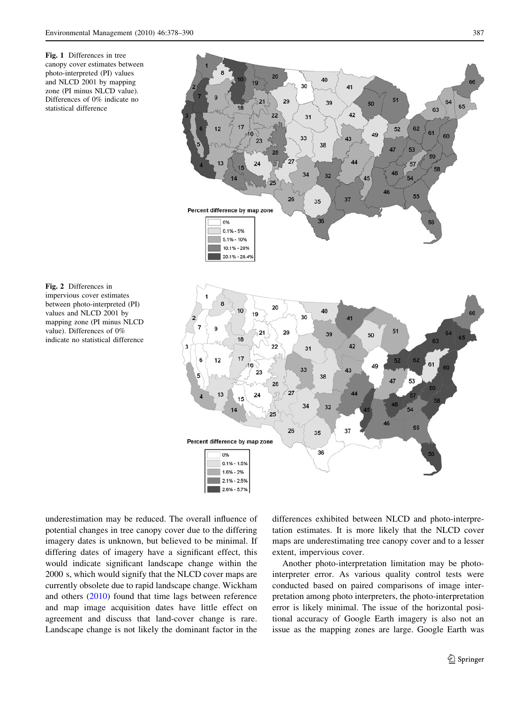<span id="page-9-0"></span>Fig. 1 Differences in tree canopy cover estimates between photo-interpreted (PI) values and NLCD 2001 by mapping zone (PI minus NLCD value). Differences of 0% indicate no statistical difference

Fig. 2 Differences in impervious cover estimates between photo-interpreted (PI) values and NLCD 2001 by mapping zone (PI minus NLCD value). Differences of 0% indicate no statistical difference

underestimation may be reduced. The overall influence of potential changes in tree canopy cover due to the differing imagery dates is unknown, but believed to be minimal. If differing dates of imagery have a significant effect, this would indicate significant landscape change within the 2000 s, which would signify that the NLCD cover maps are currently obsolete due to rapid landscape change. Wickham and others ([2010\)](#page-12-0) found that time lags between reference and map image acquisition dates have little effect on agreement and discuss that land-cover change is rare. Landscape change is not likely the dominant factor in the differences exhibited between NLCD and photo-interpretation estimates. It is more likely that the NLCD cover maps are underestimating tree canopy cover and to a lesser extent, impervious cover.

Another photo-interpretation limitation may be photointerpreter error. As various quality control tests were conducted based on paired comparisons of image interpretation among photo interpreters, the photo-interpretation error is likely minimal. The issue of the horizontal positional accuracy of Google Earth imagery is also not an issue as the mapping zones are large. Google Earth was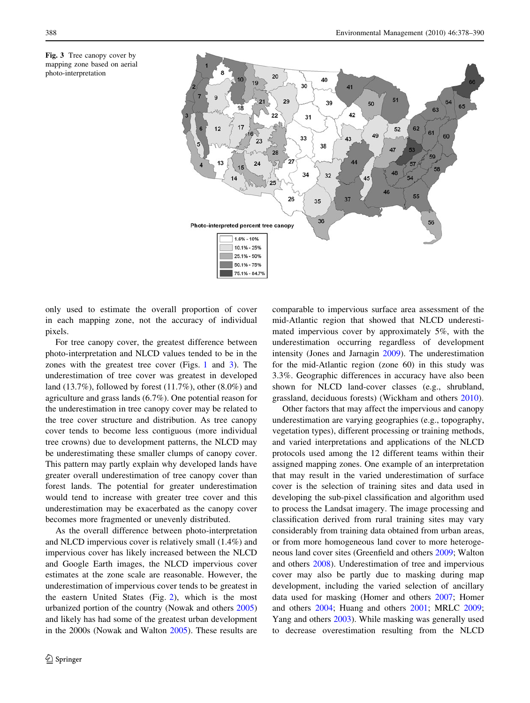



only used to estimate the overall proportion of cover in each mapping zone, not the accuracy of individual pixels.

For tree canopy cover, the greatest difference between photo-interpretation and NLCD values tended to be in the zones with the greatest tree cover (Figs. [1](#page-9-0) and 3). The underestimation of tree cover was greatest in developed land (13.7%), followed by forest (11.7%), other (8.0%) and agriculture and grass lands (6.7%). One potential reason for the underestimation in tree canopy cover may be related to the tree cover structure and distribution. As tree canopy cover tends to become less contiguous (more individual tree crowns) due to development patterns, the NLCD may be underestimating these smaller clumps of canopy cover. This pattern may partly explain why developed lands have greater overall underestimation of tree canopy cover than forest lands. The potential for greater underestimation would tend to increase with greater tree cover and this underestimation may be exacerbated as the canopy cover becomes more fragmented or unevenly distributed.

As the overall difference between photo-interpretation and NLCD impervious cover is relatively small (1.4%) and impervious cover has likely increased between the NLCD and Google Earth images, the NLCD impervious cover estimates at the zone scale are reasonable. However, the underestimation of impervious cover tends to be greatest in the eastern United States (Fig. [2](#page-9-0)), which is the most urbanized portion of the country (Nowak and others [2005\)](#page-12-0) and likely has had some of the greatest urban development in the 2000s (Nowak and Walton [2005](#page-12-0)). These results are comparable to impervious surface area assessment of the mid-Atlantic region that showed that NLCD underestimated impervious cover by approximately 5%, with the underestimation occurring regardless of development intensity (Jones and Jarnagin [2009](#page-11-0)). The underestimation for the mid-Atlantic region (zone 60) in this study was 3.3%. Geographic differences in accuracy have also been shown for NLCD land-cover classes (e.g., shrubland, grassland, deciduous forests) (Wickham and others [2010\)](#page-12-0).

Other factors that may affect the impervious and canopy underestimation are varying geographies (e.g., topography, vegetation types), different processing or training methods, and varied interpretations and applications of the NLCD protocols used among the 12 different teams within their assigned mapping zones. One example of an interpretation that may result in the varied underestimation of surface cover is the selection of training sites and data used in developing the sub-pixel classification and algorithm used to process the Landsat imagery. The image processing and classification derived from rural training sites may vary considerably from training data obtained from urban areas, or from more homogeneous land cover to more heterogeneous land cover sites (Greenfield and others [2009](#page-11-0); Walton and others [2008\)](#page-12-0). Underestimation of tree and impervious cover may also be partly due to masking during map development, including the varied selection of ancillary data used for masking (Homer and others [2007](#page-11-0); Homer and others [2004](#page-11-0); Huang and others [2001](#page-11-0); MRLC [2009](#page-11-0); Yang and others [2003\)](#page-12-0). While masking was generally used to decrease overestimation resulting from the NLCD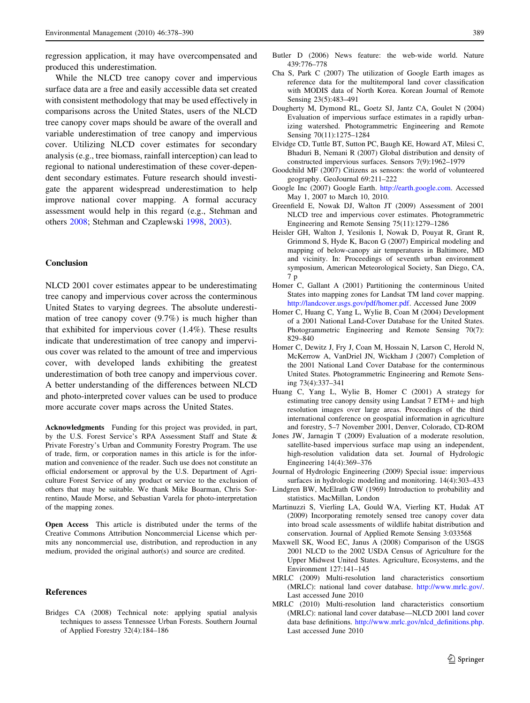<span id="page-11-0"></span>regression application, it may have overcompensated and produced this underestimation.

While the NLCD tree canopy cover and impervious surface data are a free and easily accessible data set created with consistent methodology that may be used effectively in comparisons across the United States, users of the NLCD tree canopy cover maps should be aware of the overall and variable underestimation of tree canopy and impervious cover. Utilizing NLCD cover estimates for secondary analysis (e.g., tree biomass, rainfall interception) can lead to regional to national underestimation of these cover-dependent secondary estimates. Future research should investigate the apparent widespread underestimation to help improve national cover mapping. A formal accuracy assessment would help in this regard (e.g., Stehman and others [2008](#page-12-0); Stehman and Czaplewski [1998](#page-12-0), [2003\)](#page-12-0).

### Conclusion

NLCD 2001 cover estimates appear to be underestimating tree canopy and impervious cover across the conterminous United States to varying degrees. The absolute underestimation of tree canopy cover (9.7%) is much higher than that exhibited for impervious cover (1.4%). These results indicate that underestimation of tree canopy and impervious cover was related to the amount of tree and impervious cover, with developed lands exhibiting the greatest underestimation of both tree canopy and impervious cover. A better understanding of the differences between NLCD and photo-interpreted cover values can be used to produce more accurate cover maps across the United States.

Acknowledgments Funding for this project was provided, in part, by the U.S. Forest Service's RPA Assessment Staff and State & Private Forestry's Urban and Community Forestry Program. The use of trade, firm, or corporation names in this article is for the information and convenience of the reader. Such use does not constitute an official endorsement or approval by the U.S. Department of Agriculture Forest Service of any product or service to the exclusion of others that may be suitable. We thank Mike Boarman, Chris Sorrentino, Maude Morse, and Sebastian Varela for photo-interpretation of the mapping zones.

Open Access This article is distributed under the terms of the Creative Commons Attribution Noncommercial License which permits any noncommercial use, distribution, and reproduction in any medium, provided the original author(s) and source are credited.

#### References

Bridges CA (2008) Technical note: applying spatial analysis techniques to assess Tennessee Urban Forests. Southern Journal of Applied Forestry 32(4):184–186

- Butler D (2006) News feature: the web-wide world. Nature 439:776–778
- Cha S, Park C (2007) The utilization of Google Earth images as reference data for the multitemporal land cover classification with MODIS data of North Korea. Korean Journal of Remote Sensing 23(5):483–491
- Dougherty M, Dymond RL, Goetz SJ, Jantz CA, Goulet N (2004) Evaluation of impervious surface estimates in a rapidly urbanizing watershed. Photogrammetric Engineering and Remote Sensing 70(11):1275–1284
- Elvidge CD, Tuttle BT, Sutton PC, Baugh KE, Howard AT, Milesi C, Bhaduri B, Nemani R (2007) Global distribution and density of constructed impervious surfaces. Sensors 7(9):1962–1979
- Goodchild MF (2007) Citizens as sensors: the world of volunteered geography. GeoJournal 69:211–222
- Google Inc (2007) Google Earth. [http://earth.google.com.](http://earth.google.com) Accessed May 1, 2007 to March 10, 2010.
- Greenfield E, Nowak DJ, Walton JT (2009) Assessment of 2001 NLCD tree and impervious cover estimates. Photogrammetric Engineering and Remote Sensing 75(11):1279–1286
- Heisler GH, Walton J, Yesilonis I, Nowak D, Pouyat R, Grant R, Grimmond S, Hyde K, Bacon G (2007) Empirical modeling and mapping of below-canopy air temperatures in Baltimore, MD and vicinity. In: Proceedings of seventh urban environment symposium, American Meteorological Society, San Diego, CA, 7 p
- Homer C, Gallant A (2001) Partitioning the conterminous United States into mapping zones for Landsat TM land cover mapping. <http://landcover.usgs.gov/pdf/homer.pdf>. Accessed June 2009
- Homer C, Huang C, Yang L, Wylie B, Coan M (2004) Development of a 2001 National Land-Cover Database for the United States. Photogrammetric Engineering and Remote Sensing 70(7): 829–840
- Homer C, Dewitz J, Fry J, Coan M, Hossain N, Larson C, Herold N, McKerrow A, VanDriel JN, Wickham J (2007) Completion of the 2001 National Land Cover Database for the conterminous United States. Photogrammetric Engineering and Remote Sensing 73(4):337–341
- Huang C, Yang L, Wylie B, Homer C (2001) A strategy for estimating tree canopy density using Landsat 7 ETM+ and high resolution images over large areas. Proceedings of the third international conference on geospatial information in agriculture and forestry, 5–7 November 2001, Denver, Colorado, CD-ROM
- Jones JW, Jarnagin T (2009) Evaluation of a moderate resolution, satellite-based impervious surface map using an independent, high-resolution validation data set. Journal of Hydrologic Engineering 14(4):369–376
- Journal of Hydrologic Engineering (2009) Special issue: impervious surfaces in hydrologic modeling and monitoring. 14(4):303–433
- Lindgren BW, McElrath GW (1969) Introduction to probability and statistics. MacMillan, London
- Martinuzzi S, Vierling LA, Gould WA, Vierling KT, Hudak AT (2009) Incorporating remotely sensed tree canopy cover data into broad scale assessments of wildlife habitat distribution and conservation. Journal of Applied Remote Sensing 3:033568
- Maxwell SK, Wood EC, Janus A (2008) Comparison of the USGS 2001 NLCD to the 2002 USDA Census of Agriculture for the Upper Midwest United States. Agriculture, Ecosystems, and the Environment 127:141–145
- MRLC (2009) Multi-resolution land characteristics consortium (MRLC): national land cover database. <http://www.mrlc.gov/>. Last accessed June 2010
- MRLC (2010) Multi-resolution land characteristics consortium (MRLC): national land cover database—NLCD 2001 land cover data base definitions. [http://www.mrlc.gov/nlcd\\_definitions.php](http://www.mrlc.gov/nlcd_definitions.php). Last accessed June 2010